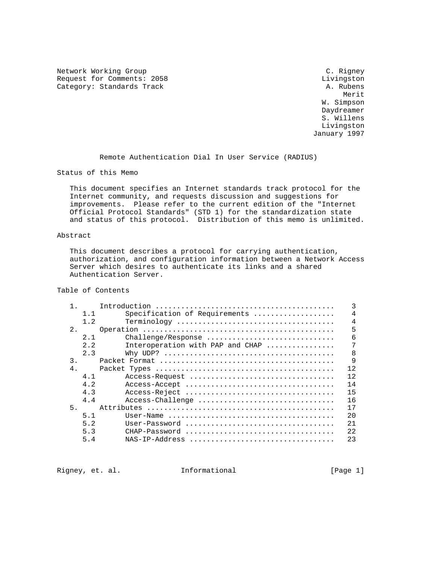Network Working Group C. Rigney Request for Comments: 2058<br>
Category: Standards Track<br>
Category: Standards Track Category: Standards Track and the control of the category: Standards Track A. Rubens

**Merit** Merit and the Merit of the Merit of the Merit of the Merit of the Merit of the Merit of the Merit of the Merit of the Merit of the Merit of the Merit of the Merit of the Merit of the Merit of the Merit of the Merit W. Simpson Daydreamer S. Willens Livingston January 1997

Remote Authentication Dial In User Service (RADIUS)

Status of this Memo

 This document specifies an Internet standards track protocol for the Internet community, and requests discussion and suggestions for improvements. Please refer to the current edition of the "Internet Official Protocol Standards" (STD 1) for the standardization state and status of this protocol. Distribution of this memo is unlimited.

# Abstract

 This document describes a protocol for carrying authentication, authorization, and configuration information between a Network Access Server which desires to authenticate its links and a shared Authentication Server.

# Table of Contents

|                |                                  | 3  |
|----------------|----------------------------------|----|
| 1.1            | Specification of Requirements    |    |
| 1.2            |                                  | 4  |
| $2$ .          |                                  | 5  |
| 2.1            | Challenge/Response               | 6  |
| 2.2            | Interoperation with PAP and CHAP | 7  |
| 2.3            |                                  | 8  |
| 3.             |                                  | 9  |
| 4.             |                                  | 12 |
| 4.1            | Access-Request                   | 12 |
| 4.2            | Access-Accept                    | 14 |
| 4.3            |                                  | 15 |
| 4.4            | Access-Challenge                 | 16 |
| 5 <sub>1</sub> |                                  | 17 |
| 5.1            |                                  | 20 |
| 5.2            | User-Password                    | 21 |
| 5.3            | CHAP-Password                    | 22 |
| 54             | NAS-IP-Address                   | 23 |

Rigney, et. al. **Informational** [Page 1]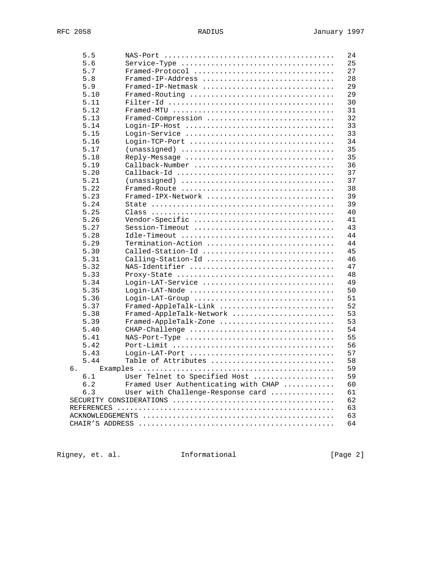| 5.5               | 24                                                                                     |
|-------------------|----------------------------------------------------------------------------------------|
| 5.6               | 25<br>$Service-Type \dots \dots \dots \dots \dots \dots \dots \dots \dots \dots \dots$ |
| 5.7               | 27<br>Framed-Protocol                                                                  |
| 5.8               | 28                                                                                     |
| 5.9               | 29<br>Framed-IP-Netmask                                                                |
| 5.10              | 29<br>Framed-Routing                                                                   |
| 5.11              | 30                                                                                     |
| 5.12              | 31                                                                                     |
| 5.13              | 32<br>Framed-Compression                                                               |
| 5.14              | 33<br>Login-IP-Host                                                                    |
| 5.15              | 33<br>Login-Service                                                                    |
| 5.16              | 34<br>Login-TCP-Port                                                                   |
| 5.17              | 35                                                                                     |
| 5.18              | 35<br>Reply-Message                                                                    |
| 5.19              | 36<br>Callback-Number                                                                  |
| 5.20              | 37                                                                                     |
| 5.21              | 37                                                                                     |
| 5.22              | 38                                                                                     |
| 5.23              | Framed-IPX-Network<br>39                                                               |
| 5.24              | 39                                                                                     |
| 5.25              | 40                                                                                     |
| 5.26              | 41<br>Vendor-Specific                                                                  |
| 5.27              | 43<br>Session-Timeout                                                                  |
| 5.28              | 44                                                                                     |
| 5.29              | 44<br>Termination-Action                                                               |
| 5.30              | 45<br>Called-Station-Id                                                                |
| 5.31              | 46<br>Calling-Station-Id                                                               |
| 5.32              | 47<br>NAS-Identifier                                                                   |
| 5.33              | 48                                                                                     |
| 5.34              | Login-LAT-Service<br>49                                                                |
| 5.35              | 50<br>Login-LAT-Node                                                                   |
| 5.36              | 51<br>Login-LAT-Group                                                                  |
| 5.37              | 52<br>Framed-AppleTalk-Link                                                            |
| 5.38              | 53<br>Framed-AppleTalk-Network                                                         |
| 5.39              | 53<br>Framed-AppleTalk-Zone                                                            |
| 5.40              | 54<br>CHAP-Challenge                                                                   |
| 5.41              | 55<br>NAS-Port-Type                                                                    |
| 5.42              | 56                                                                                     |
| 5.43              | 57<br>Login-LAT-Port                                                                   |
| 5.44              | 58<br>Table of Attributes                                                              |
| б.<br>Examples    | 59                                                                                     |
| 6.1               | 59<br>User Telnet to Specified Host                                                    |
| 6.2               | Framed User Authenticating with CHAP<br>60                                             |
| 6.3               | User with Challenge-Response card<br>61                                                |
|                   | 62                                                                                     |
| <b>REFERENCES</b> | 63                                                                                     |
|                   | 63                                                                                     |
|                   | 64                                                                                     |
|                   |                                                                                        |

Rigney, et. al. 1nformational 1992 [Page 2]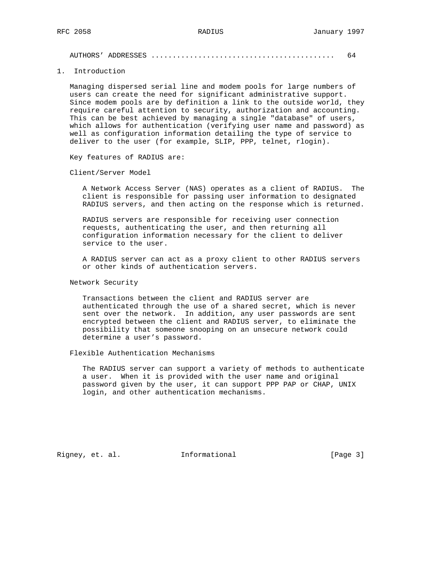AUTHORS' ADDRESSES ........................................... 64

1. Introduction

 Managing dispersed serial line and modem pools for large numbers of users can create the need for significant administrative support. Since modem pools are by definition a link to the outside world, they require careful attention to security, authorization and accounting. This can be best achieved by managing a single "database" of users, which allows for authentication (verifying user name and password) as well as configuration information detailing the type of service to deliver to the user (for example, SLIP, PPP, telnet, rlogin).

Key features of RADIUS are:

Client/Server Model

 A Network Access Server (NAS) operates as a client of RADIUS. The client is responsible for passing user information to designated RADIUS servers, and then acting on the response which is returned.

 RADIUS servers are responsible for receiving user connection requests, authenticating the user, and then returning all configuration information necessary for the client to deliver service to the user.

 A RADIUS server can act as a proxy client to other RADIUS servers or other kinds of authentication servers.

# Network Security

 Transactions between the client and RADIUS server are authenticated through the use of a shared secret, which is never sent over the network. In addition, any user passwords are sent encrypted between the client and RADIUS server, to eliminate the possibility that someone snooping on an unsecure network could determine a user's password.

Flexible Authentication Mechanisms

 The RADIUS server can support a variety of methods to authenticate a user. When it is provided with the user name and original password given by the user, it can support PPP PAP or CHAP, UNIX login, and other authentication mechanisms.

Rigney, et. al. **Informational** [Page 3]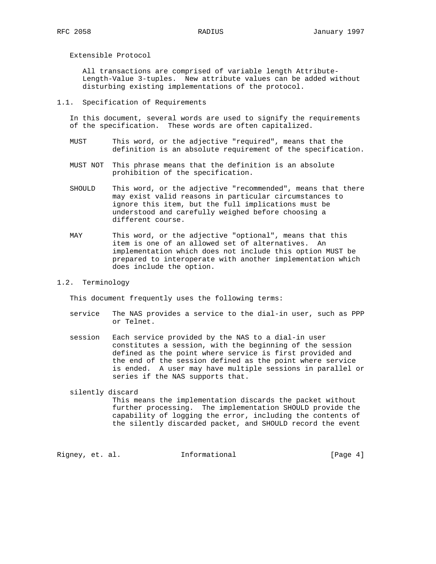Extensible Protocol

 All transactions are comprised of variable length Attribute- Length-Value 3-tuples. New attribute values can be added without disturbing existing implementations of the protocol.

## 1.1. Specification of Requirements

 In this document, several words are used to signify the requirements of the specification. These words are often capitalized.

- MUST This word, or the adjective "required", means that the definition is an absolute requirement of the specification.
- MUST NOT This phrase means that the definition is an absolute prohibition of the specification.
- SHOULD This word, or the adjective "recommended", means that there may exist valid reasons in particular circumstances to ignore this item, but the full implications must be understood and carefully weighed before choosing a different course.
- MAY This word, or the adjective "optional", means that this item is one of an allowed set of alternatives. An implementation which does not include this option MUST be prepared to interoperate with another implementation which does include the option.
- 1.2. Terminology

This document frequently uses the following terms:

- service The NAS provides a service to the dial-in user, such as PPP or Telnet.
- session Each service provided by the NAS to a dial-in user constitutes a session, with the beginning of the session defined as the point where service is first provided and the end of the session defined as the point where service is ended. A user may have multiple sessions in parallel or series if the NAS supports that.

 silently discard This means the implementation discards the packet without further processing. The implementation SHOULD provide the capability of logging the error, including the contents of the silently discarded packet, and SHOULD record the event

Rigney, et. al. 1nformational 1999 [Page 4]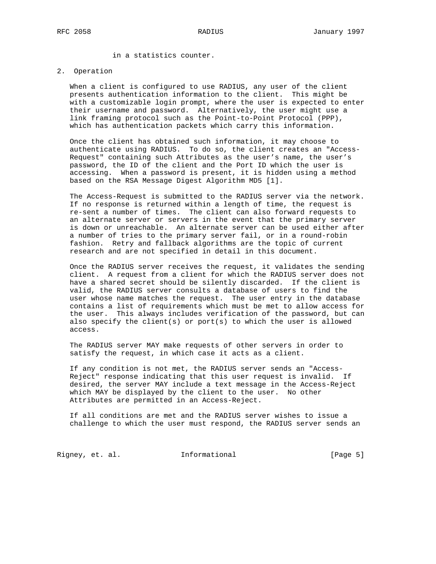# in a statistics counter.

# 2. Operation

 When a client is configured to use RADIUS, any user of the client presents authentication information to the client. This might be with a customizable login prompt, where the user is expected to enter their username and password. Alternatively, the user might use a link framing protocol such as the Point-to-Point Protocol (PPP), which has authentication packets which carry this information.

 Once the client has obtained such information, it may choose to authenticate using RADIUS. To do so, the client creates an "Access- Request" containing such Attributes as the user's name, the user's password, the ID of the client and the Port ID which the user is accessing. When a password is present, it is hidden using a method based on the RSA Message Digest Algorithm MD5 [1].

 The Access-Request is submitted to the RADIUS server via the network. If no response is returned within a length of time, the request is re-sent a number of times. The client can also forward requests to an alternate server or servers in the event that the primary server is down or unreachable. An alternate server can be used either after a number of tries to the primary server fail, or in a round-robin fashion. Retry and fallback algorithms are the topic of current research and are not specified in detail in this document.

 Once the RADIUS server receives the request, it validates the sending client. A request from a client for which the RADIUS server does not have a shared secret should be silently discarded. If the client is valid, the RADIUS server consults a database of users to find the user whose name matches the request. The user entry in the database contains a list of requirements which must be met to allow access for the user. This always includes verification of the password, but can also specify the client(s) or port(s) to which the user is allowed access.

 The RADIUS server MAY make requests of other servers in order to satisfy the request, in which case it acts as a client.

 If any condition is not met, the RADIUS server sends an "Access- Reject" response indicating that this user request is invalid. If desired, the server MAY include a text message in the Access-Reject which MAY be displayed by the client to the user. No other Attributes are permitted in an Access-Reject.

 If all conditions are met and the RADIUS server wishes to issue a challenge to which the user must respond, the RADIUS server sends an

Rigney, et. al. 1nformational 1999 [Page 5]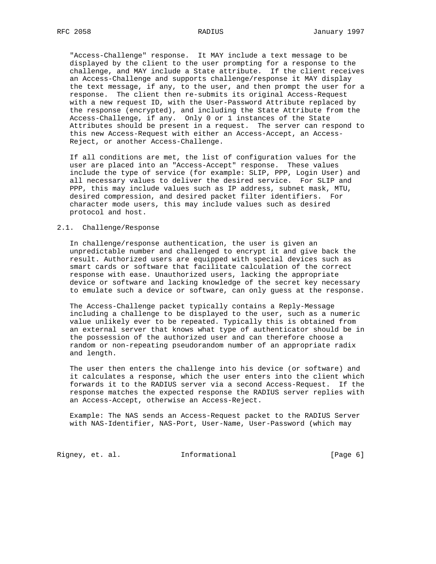"Access-Challenge" response. It MAY include a text message to be displayed by the client to the user prompting for a response to the challenge, and MAY include a State attribute. If the client receives an Access-Challenge and supports challenge/response it MAY display the text message, if any, to the user, and then prompt the user for a response. The client then re-submits its original Access-Request with a new request ID, with the User-Password Attribute replaced by the response (encrypted), and including the State Attribute from the Access-Challenge, if any. Only 0 or 1 instances of the State Attributes should be present in a request. The server can respond to this new Access-Request with either an Access-Accept, an Access- Reject, or another Access-Challenge.

 If all conditions are met, the list of configuration values for the user are placed into an "Access-Accept" response. These values include the type of service (for example: SLIP, PPP, Login User) and all necessary values to deliver the desired service. For SLIP and PPP, this may include values such as IP address, subnet mask, MTU, desired compression, and desired packet filter identifiers. For character mode users, this may include values such as desired protocol and host.

## 2.1. Challenge/Response

 In challenge/response authentication, the user is given an unpredictable number and challenged to encrypt it and give back the result. Authorized users are equipped with special devices such as smart cards or software that facilitate calculation of the correct response with ease. Unauthorized users, lacking the appropriate device or software and lacking knowledge of the secret key necessary to emulate such a device or software, can only guess at the response.

 The Access-Challenge packet typically contains a Reply-Message including a challenge to be displayed to the user, such as a numeric value unlikely ever to be repeated. Typically this is obtained from an external server that knows what type of authenticator should be in the possession of the authorized user and can therefore choose a random or non-repeating pseudorandom number of an appropriate radix and length.

 The user then enters the challenge into his device (or software) and it calculates a response, which the user enters into the client which forwards it to the RADIUS server via a second Access-Request. If the response matches the expected response the RADIUS server replies with an Access-Accept, otherwise an Access-Reject.

 Example: The NAS sends an Access-Request packet to the RADIUS Server with NAS-Identifier, NAS-Port, User-Name, User-Password (which may

Rigney, et. al. 1nformational 1999 [Page 6]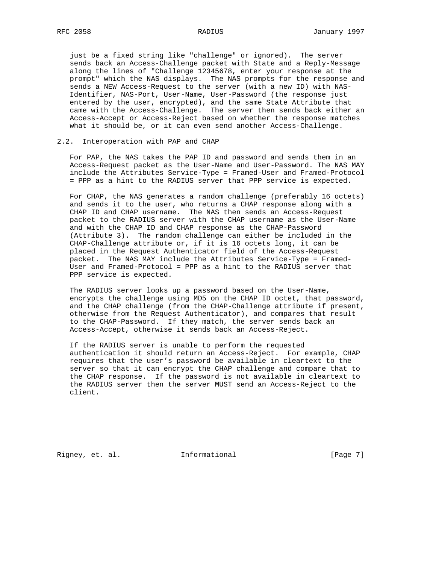just be a fixed string like "challenge" or ignored). The server sends back an Access-Challenge packet with State and a Reply-Message along the lines of "Challenge 12345678, enter your response at the prompt" which the NAS displays. The NAS prompts for the response and sends a NEW Access-Request to the server (with a new ID) with NAS- Identifier, NAS-Port, User-Name, User-Password (the response just entered by the user, encrypted), and the same State Attribute that came with the Access-Challenge. The server then sends back either an Access-Accept or Access-Reject based on whether the response matches what it should be, or it can even send another Access-Challenge.

# 2.2. Interoperation with PAP and CHAP

 For PAP, the NAS takes the PAP ID and password and sends them in an Access-Request packet as the User-Name and User-Password. The NAS MAY include the Attributes Service-Type = Framed-User and Framed-Protocol = PPP as a hint to the RADIUS server that PPP service is expected.

 For CHAP, the NAS generates a random challenge (preferably 16 octets) and sends it to the user, who returns a CHAP response along with a CHAP ID and CHAP username. The NAS then sends an Access-Request packet to the RADIUS server with the CHAP username as the User-Name and with the CHAP ID and CHAP response as the CHAP-Password (Attribute 3). The random challenge can either be included in the CHAP-Challenge attribute or, if it is 16 octets long, it can be placed in the Request Authenticator field of the Access-Request packet. The NAS MAY include the Attributes Service-Type = Framed- User and Framed-Protocol = PPP as a hint to the RADIUS server that PPP service is expected.

 The RADIUS server looks up a password based on the User-Name, encrypts the challenge using MD5 on the CHAP ID octet, that password, and the CHAP challenge (from the CHAP-Challenge attribute if present, otherwise from the Request Authenticator), and compares that result to the CHAP-Password. If they match, the server sends back an Access-Accept, otherwise it sends back an Access-Reject.

 If the RADIUS server is unable to perform the requested authentication it should return an Access-Reject. For example, CHAP requires that the user's password be available in cleartext to the server so that it can encrypt the CHAP challenge and compare that to the CHAP response. If the password is not available in cleartext to the RADIUS server then the server MUST send an Access-Reject to the client.

Rigney, et. al. **Informational** [Page 7]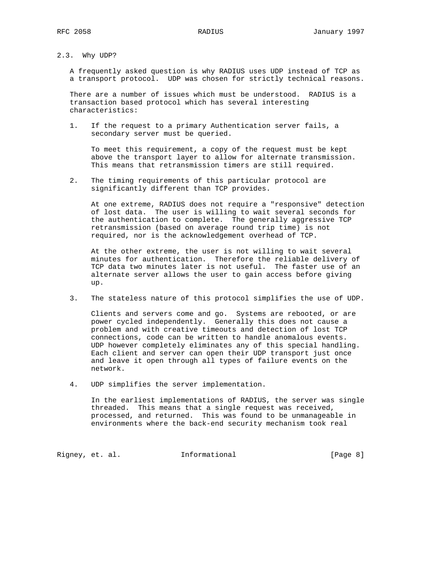# 2.3. Why UDP?

 A frequently asked question is why RADIUS uses UDP instead of TCP as a transport protocol. UDP was chosen for strictly technical reasons.

 There are a number of issues which must be understood. RADIUS is a transaction based protocol which has several interesting characteristics:

 1. If the request to a primary Authentication server fails, a secondary server must be queried.

 To meet this requirement, a copy of the request must be kept above the transport layer to allow for alternate transmission. This means that retransmission timers are still required.

 2. The timing requirements of this particular protocol are significantly different than TCP provides.

 At one extreme, RADIUS does not require a "responsive" detection of lost data. The user is willing to wait several seconds for the authentication to complete. The generally aggressive TCP retransmission (based on average round trip time) is not required, nor is the acknowledgement overhead of TCP.

 At the other extreme, the user is not willing to wait several minutes for authentication. Therefore the reliable delivery of TCP data two minutes later is not useful. The faster use of an alternate server allows the user to gain access before giving up.

3. The stateless nature of this protocol simplifies the use of UDP.

 Clients and servers come and go. Systems are rebooted, or are power cycled independently. Generally this does not cause a problem and with creative timeouts and detection of lost TCP connections, code can be written to handle anomalous events. UDP however completely eliminates any of this special handling. Each client and server can open their UDP transport just once and leave it open through all types of failure events on the network.

4. UDP simplifies the server implementation.

 In the earliest implementations of RADIUS, the server was single threaded. This means that a single request was received, processed, and returned. This was found to be unmanageable in environments where the back-end security mechanism took real

Rigney, et. al. 1nformational 1999 [Page 8]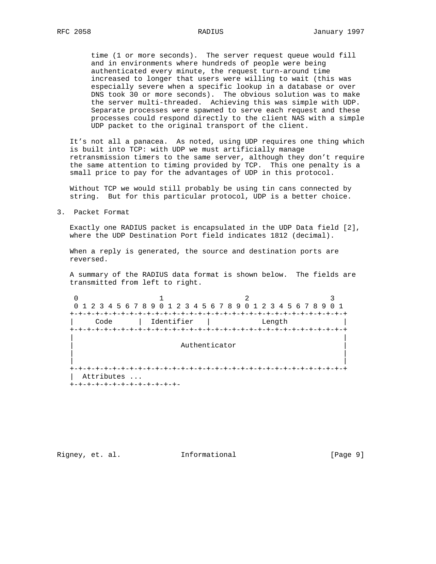time (1 or more seconds). The server request queue would fill and in environments where hundreds of people were being authenticated every minute, the request turn-around time increased to longer that users were willing to wait (this was especially severe when a specific lookup in a database or over DNS took 30 or more seconds). The obvious solution was to make the server multi-threaded. Achieving this was simple with UDP. Separate processes were spawned to serve each request and these processes could respond directly to the client NAS with a simple UDP packet to the original transport of the client.

 It's not all a panacea. As noted, using UDP requires one thing which is built into TCP: with UDP we must artificially manage retransmission timers to the same server, although they don't require the same attention to timing provided by TCP. This one penalty is a small price to pay for the advantages of UDP in this protocol.

 Without TCP we would still probably be using tin cans connected by string. But for this particular protocol, UDP is a better choice.

3. Packet Format

 Exactly one RADIUS packet is encapsulated in the UDP Data field [2], where the UDP Destination Port field indicates 1812 (decimal).

 When a reply is generated, the source and destination ports are reversed.

 A summary of the RADIUS data format is shown below. The fields are transmitted from left to right.

0  $1$  2 3 0 1 2 3 4 5 6 7 8 9 0 1 2 3 4 5 6 7 8 9 0 1 2 3 4 5 6 7 8 9 0 1 +-+-+-+-+-+-+-+-+-+-+-+-+-+-+-+-+-+-+-+-+-+-+-+-+-+-+-+-+-+-+-+-+ | Code | Identifier | Length | +-+-+-+-+-+-+-+-+-+-+-+-+-+-+-+-+-+-+-+-+-+-+-+-+-+-+-+-+-+-+-+-+ | | Authenticator | | | | +-+-+-+-+-+-+-+-+-+-+-+-+-+-+-+-+-+-+-+-+-+-+-+-+-+-+-+-+-+-+-+-+ | Attributes ... +-+-+-+-+-+-+-+-+-+-+-+-+-

Rigney, et. al. **Informational** [Page 9]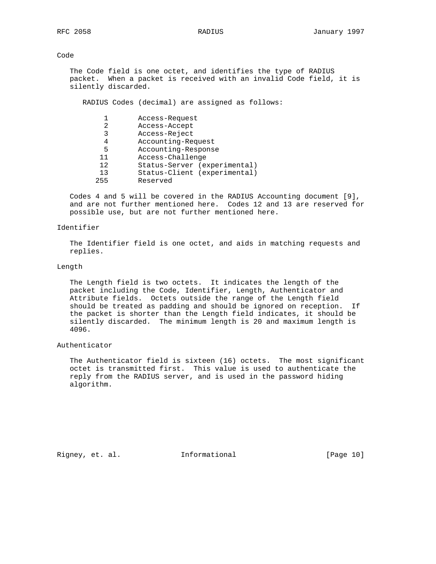Code

 The Code field is one octet, and identifies the type of RADIUS packet. When a packet is received with an invalid Code field, it is silently discarded.

RADIUS Codes (decimal) are assigned as follows:

|     | Access-Request               |
|-----|------------------------------|
|     | Access-Accept                |
|     | Access-Reject                |
|     | Accounting-Request           |
| 5   | Accounting-Response          |
| 11  | Access-Challenge             |
| 12  | Status-Server (experimental) |
| 13  | Status-Client (experimental) |
| 255 | Reserved                     |

 Codes 4 and 5 will be covered in the RADIUS Accounting document [9], and are not further mentioned here. Codes 12 and 13 are reserved for possible use, but are not further mentioned here.

## Identifier

 The Identifier field is one octet, and aids in matching requests and replies.

# Length

 The Length field is two octets. It indicates the length of the packet including the Code, Identifier, Length, Authenticator and Attribute fields. Octets outside the range of the Length field should be treated as padding and should be ignored on reception. If the packet is shorter than the Length field indicates, it should be silently discarded. The minimum length is 20 and maximum length is 4096.

### Authenticator

 The Authenticator field is sixteen (16) octets. The most significant octet is transmitted first. This value is used to authenticate the reply from the RADIUS server, and is used in the password hiding algorithm.

Rigney, et. al. **Informational** [Page 10]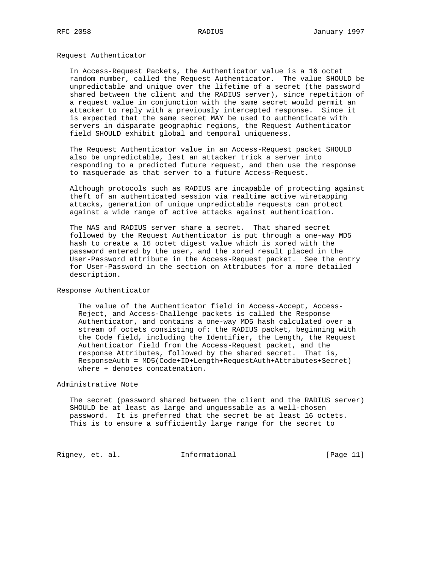Request Authenticator

 In Access-Request Packets, the Authenticator value is a 16 octet random number, called the Request Authenticator. The value SHOULD be unpredictable and unique over the lifetime of a secret (the password shared between the client and the RADIUS server), since repetition of a request value in conjunction with the same secret would permit an attacker to reply with a previously intercepted response. Since it is expected that the same secret MAY be used to authenticate with servers in disparate geographic regions, the Request Authenticator field SHOULD exhibit global and temporal uniqueness.

 The Request Authenticator value in an Access-Request packet SHOULD also be unpredictable, lest an attacker trick a server into responding to a predicted future request, and then use the response to masquerade as that server to a future Access-Request.

 Although protocols such as RADIUS are incapable of protecting against theft of an authenticated session via realtime active wiretapping attacks, generation of unique unpredictable requests can protect against a wide range of active attacks against authentication.

 The NAS and RADIUS server share a secret. That shared secret followed by the Request Authenticator is put through a one-way MD5 hash to create a 16 octet digest value which is xored with the password entered by the user, and the xored result placed in the User-Password attribute in the Access-Request packet. See the entry for User-Password in the section on Attributes for a more detailed description.

Response Authenticator

 The value of the Authenticator field in Access-Accept, Access- Reject, and Access-Challenge packets is called the Response Authenticator, and contains a one-way MD5 hash calculated over a stream of octets consisting of: the RADIUS packet, beginning with the Code field, including the Identifier, the Length, the Request Authenticator field from the Access-Request packet, and the response Attributes, followed by the shared secret. That is, ResponseAuth = MD5(Code+ID+Length+RequestAuth+Attributes+Secret) where + denotes concatenation.

# Administrative Note

 The secret (password shared between the client and the RADIUS server) SHOULD be at least as large and unguessable as a well-chosen password. It is preferred that the secret be at least 16 octets. This is to ensure a sufficiently large range for the secret to

Rigney, et. al. 10. Informational 1. [Page 11]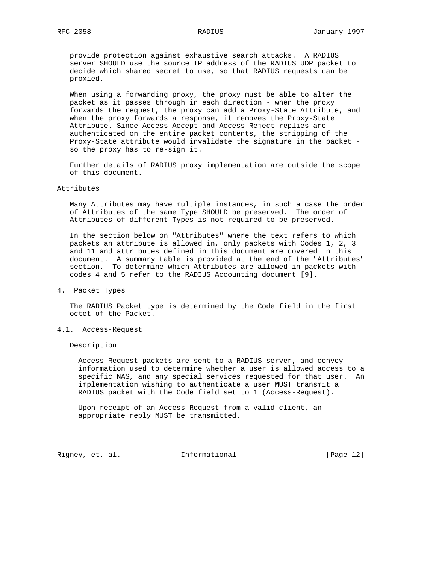provide protection against exhaustive search attacks. A RADIUS server SHOULD use the source IP address of the RADIUS UDP packet to decide which shared secret to use, so that RADIUS requests can be proxied.

 When using a forwarding proxy, the proxy must be able to alter the packet as it passes through in each direction - when the proxy forwards the request, the proxy can add a Proxy-State Attribute, and when the proxy forwards a response, it removes the Proxy-State Attribute. Since Access-Accept and Access-Reject replies are authenticated on the entire packet contents, the stripping of the Proxy-State attribute would invalidate the signature in the packet so the proxy has to re-sign it.

 Further details of RADIUS proxy implementation are outside the scope of this document.

## Attributes

 Many Attributes may have multiple instances, in such a case the order of Attributes of the same Type SHOULD be preserved. The order of Attributes of different Types is not required to be preserved.

 In the section below on "Attributes" where the text refers to which packets an attribute is allowed in, only packets with Codes 1, 2, 3 and 11 and attributes defined in this document are covered in this document. A summary table is provided at the end of the "Attributes" section. To determine which Attributes are allowed in packets with codes 4 and 5 refer to the RADIUS Accounting document [9].

4. Packet Types

 The RADIUS Packet type is determined by the Code field in the first octet of the Packet.

4.1. Access-Request

Description

 Access-Request packets are sent to a RADIUS server, and convey information used to determine whether a user is allowed access to a specific NAS, and any special services requested for that user. An implementation wishing to authenticate a user MUST transmit a RADIUS packet with the Code field set to 1 (Access-Request).

 Upon receipt of an Access-Request from a valid client, an appropriate reply MUST be transmitted.

Rigney, et. al. **Informational** [Page 12]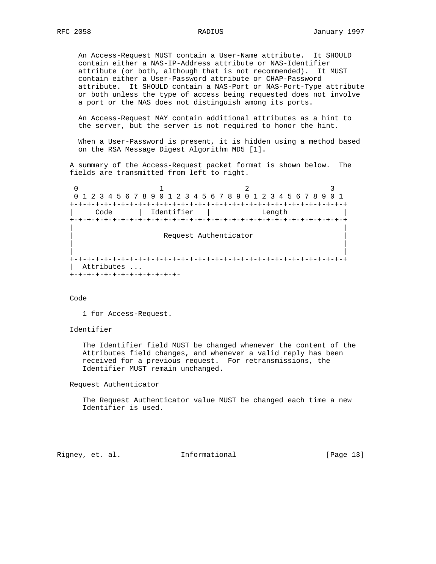An Access-Request MUST contain a User-Name attribute. It SHOULD contain either a NAS-IP-Address attribute or NAS-Identifier attribute (or both, although that is not recommended). It MUST contain either a User-Password attribute or CHAP-Password attribute. It SHOULD contain a NAS-Port or NAS-Port-Type attribute or both unless the type of access being requested does not involve a port or the NAS does not distinguish among its ports.

 An Access-Request MAY contain additional attributes as a hint to the server, but the server is not required to honor the hint.

 When a User-Password is present, it is hidden using a method based on the RSA Message Digest Algorithm MD5 [1].

 A summary of the Access-Request packet format is shown below. The fields are transmitted from left to right.

0  $1$  2 3 0 1 2 3 4 5 6 7 8 9 0 1 2 3 4 5 6 7 8 9 0 1 2 3 4 5 6 7 8 9 0 1 +-+-+-+-+-+-+-+-+-+-+-+-+-+-+-+-+-+-+-+-+-+-+-+-+-+-+-+-+-+-+-+-+ | Code | Identifier | Length | +-+-+-+-+-+-+-+-+-+-+-+-+-+-+-+-+-+-+-+-+-+-+-+-+-+-+-+-+-+-+-+-+ | | Request Authenticator | | | | +-+-+-+-+-+-+-+-+-+-+-+-+-+-+-+-+-+-+-+-+-+-+-+-+-+-+-+-+-+-+-+-+ | Attributes ... +-+-+-+-+-+-+-+-+-+-+-+-+-

Code

1 for Access-Request.

Identifier

 The Identifier field MUST be changed whenever the content of the Attributes field changes, and whenever a valid reply has been received for a previous request. For retransmissions, the Identifier MUST remain unchanged.

Request Authenticator

 The Request Authenticator value MUST be changed each time a new Identifier is used.

Rigney, et. al. **Informational** [Page 13]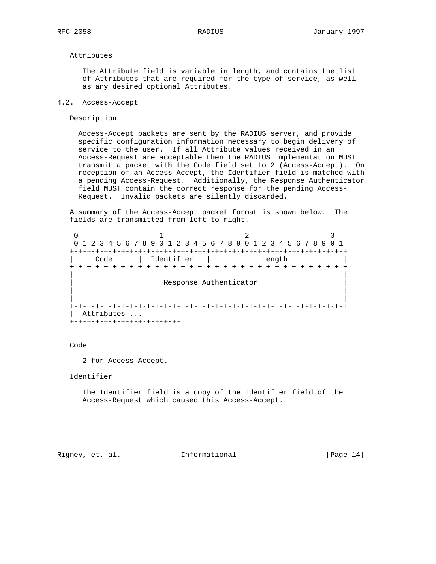## Attributes

 The Attribute field is variable in length, and contains the list of Attributes that are required for the type of service, as well as any desired optional Attributes.

4.2. Access-Accept

Description

 Access-Accept packets are sent by the RADIUS server, and provide specific configuration information necessary to begin delivery of service to the user. If all Attribute values received in an Access-Request are acceptable then the RADIUS implementation MUST transmit a packet with the Code field set to 2 (Access-Accept). On reception of an Access-Accept, the Identifier field is matched with a pending Access-Request. Additionally, the Response Authenticator field MUST contain the correct response for the pending Access- Request. Invalid packets are silently discarded.

 A summary of the Access-Accept packet format is shown below. The fields are transmitted from left to right.

|            | 0 1 2 3 4 5 6 7 8 9 0 1 2 3 4 5 6 7 8 9 0 1 2 3 4 5 6 7 8 9 0 1 |                        |               |
|------------|-----------------------------------------------------------------|------------------------|---------------|
|            |                                                                 |                        |               |
| Code       | Identifier                                                      |                        | Length        |
|            |                                                                 |                        |               |
|            |                                                                 | Response Authenticator |               |
| Attributes | +-+-+-+-+-+-+-+-+-+-+-+-+-+                                     |                        | -+-+-+-+-+-+- |

Code

2 for Access-Accept.

Identifier

 The Identifier field is a copy of the Identifier field of the Access-Request which caused this Access-Accept.

Rigney, et. al. **Informational** [Page 14]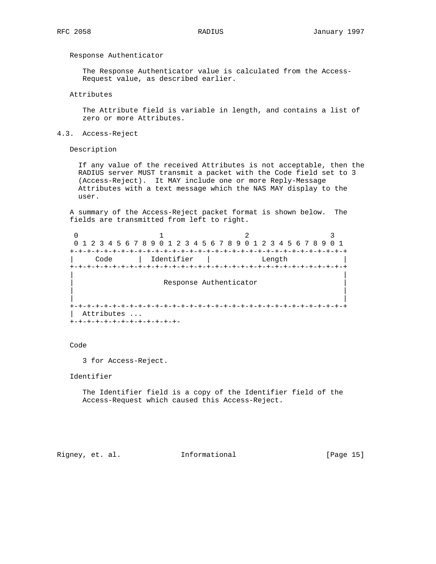# Response Authenticator

 The Response Authenticator value is calculated from the Access- Request value, as described earlier.

Attributes

 The Attribute field is variable in length, and contains a list of zero or more Attributes.

# 4.3. Access-Reject

Description

 If any value of the received Attributes is not acceptable, then the RADIUS server MUST transmit a packet with the Code field set to 3 (Access-Reject). It MAY include one or more Reply-Message Attributes with a text message which the NAS MAY display to the user.

 A summary of the Access-Reject packet format is shown below. The fields are transmitted from left to right.

|            | 0 1 2 3 4 5 6 7 8 9 0 1 2 3 4 5 6 7 8 9 0 1 2 3 4 5 6 7 8 9 0 1 |                        |        |
|------------|-----------------------------------------------------------------|------------------------|--------|
|            |                                                                 |                        |        |
| Code       | Identifier                                                      |                        | Length |
|            |                                                                 |                        |        |
|            |                                                                 | Response Authenticator |        |
| Attributes | +-+-+-+-+-+-+-+-+-+-+-+-+-+                                     |                        |        |

## Code

3 for Access-Reject.

# Identifier

 The Identifier field is a copy of the Identifier field of the Access-Request which caused this Access-Reject.

Rigney, et. al. 1nformational [Page 15]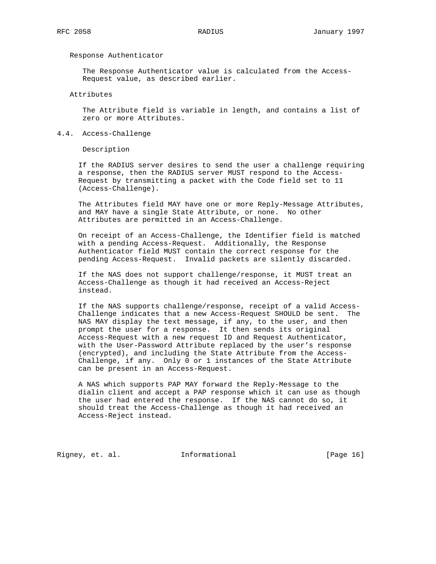## Response Authenticator

 The Response Authenticator value is calculated from the Access- Request value, as described earlier.

Attributes

 The Attribute field is variable in length, and contains a list of zero or more Attributes.

## 4.4. Access-Challenge

Description

 If the RADIUS server desires to send the user a challenge requiring a response, then the RADIUS server MUST respond to the Access- Request by transmitting a packet with the Code field set to 11 (Access-Challenge).

 The Attributes field MAY have one or more Reply-Message Attributes, and MAY have a single State Attribute, or none. No other Attributes are permitted in an Access-Challenge.

 On receipt of an Access-Challenge, the Identifier field is matched with a pending Access-Request. Additionally, the Response Authenticator field MUST contain the correct response for the pending Access-Request. Invalid packets are silently discarded.

 If the NAS does not support challenge/response, it MUST treat an Access-Challenge as though it had received an Access-Reject instead.

 If the NAS supports challenge/response, receipt of a valid Access- Challenge indicates that a new Access-Request SHOULD be sent. The NAS MAY display the text message, if any, to the user, and then prompt the user for a response. It then sends its original Access-Request with a new request ID and Request Authenticator, with the User-Password Attribute replaced by the user's response (encrypted), and including the State Attribute from the Access- Challenge, if any. Only 0 or 1 instances of the State Attribute can be present in an Access-Request.

 A NAS which supports PAP MAY forward the Reply-Message to the dialin client and accept a PAP response which it can use as though the user had entered the response. If the NAS cannot do so, it should treat the Access-Challenge as though it had received an Access-Reject instead.

Rigney, et. al. **Informational** [Page 16]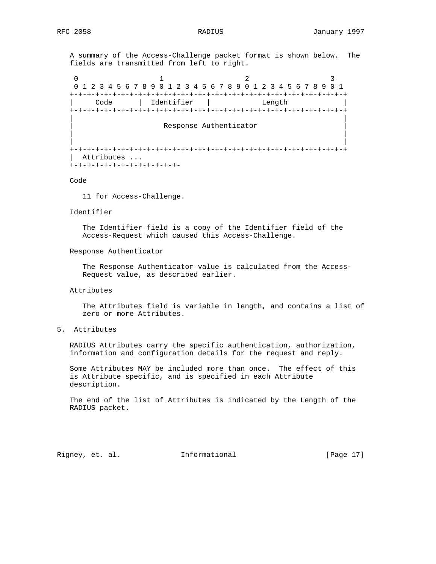A summary of the Access-Challenge packet format is shown below. The fields are transmitted from left to right.

0  $1$  2 3 0 1 2 3 4 5 6 7 8 9 0 1 2 3 4 5 6 7 8 9 0 1 2 3 4 5 6 7 8 9 0 1 +-+-+-+-+-+-+-+-+-+-+-+-+-+-+-+-+-+-+-+-+-+-+-+-+-+-+-+-+-+-+-+-+ | Code | Identifier | Length | +-+-+-+-+-+-+-+-+-+-+-+-+-+-+-+-+-+-+-+-+-+-+-+-+-+-+-+-+-+-+-+-+ | | Response Authenticator | | | | +-+-+-+-+-+-+-+-+-+-+-+-+-+-+-+-+-+-+-+-+-+-+-+-+-+-+-+-+-+-+-+-+ | Attributes ... +-+-+-+-+-+-+-+-+-+-+-+-+-

Code

11 for Access-Challenge.

#### Identifier

 The Identifier field is a copy of the Identifier field of the Access-Request which caused this Access-Challenge.

#### Response Authenticator

 The Response Authenticator value is calculated from the Access- Request value, as described earlier.

# Attributes

 The Attributes field is variable in length, and contains a list of zero or more Attributes.

# 5. Attributes

 RADIUS Attributes carry the specific authentication, authorization, information and configuration details for the request and reply.

 Some Attributes MAY be included more than once. The effect of this is Attribute specific, and is specified in each Attribute description.

 The end of the list of Attributes is indicated by the Length of the RADIUS packet.

Rigney, et. al. **Informational** [Page 17]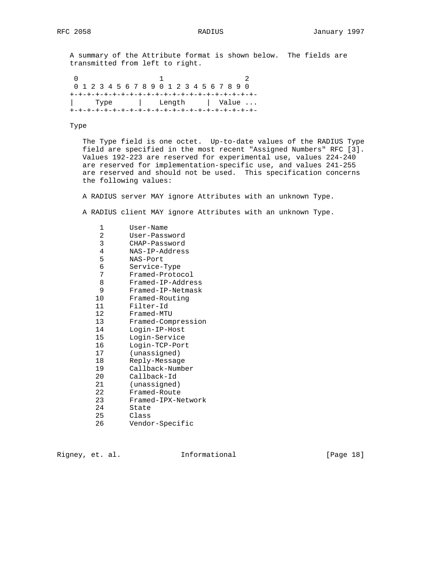A summary of the Attribute format is shown below. The fields are transmitted from left to right.

 $0$  1 2 0 1 2 3 4 5 6 7 8 9 0 1 2 3 4 5 6 7 8 9 0 +-+-+-+-+-+-+-+-+-+-+-+-+-+-+-+-+-+-+-+-+-+- | Type | Length | Value ... +-+-+-+-+-+-+-+-+-+-+-+-+-+-+-+-+-+-+-+-+-+-

# Type

 The Type field is one octet. Up-to-date values of the RADIUS Type field are specified in the most recent "Assigned Numbers" RFC [3]. Values 192-223 are reserved for experimental use, values 224-240 are reserved for implementation-specific use, and values 241-255 are reserved and should not be used. This specification concerns the following values:

A RADIUS server MAY ignore Attributes with an unknown Type.

A RADIUS client MAY ignore Attributes with an unknown Type.

| 1  | User-Name          |
|----|--------------------|
| 2  | User-Password      |
| 3  | CHAP-Password      |
| 4  | NAS-IP-Address     |
| 5  | NAS-Port           |
| 6  | Service-Type       |
| 7  | Framed-Protocol    |
| 8  | Framed-IP-Address  |
| 9  | Framed-IP-Netmask  |
| 10 | Framed-Routing     |
| 11 | Filter-Id          |
| 12 | Framed-MTU         |
| 13 | Framed-Compression |
| 14 | Login-IP-Host      |
| 15 | Login-Service      |
| 16 | Login-TCP-Port     |
| 17 | (unassigned)       |
| 18 | Reply-Message      |
| 19 | Callback-Number    |
| 20 | Callback-Id        |
| 21 | (unassigned)       |
| 22 | Framed-Route       |
| 23 | Framed-IPX-Network |
| 24 | State              |
| 25 | Class              |
| 26 | Vendor-Specific    |

Rigney, et. al. 10. Informational [Page 18]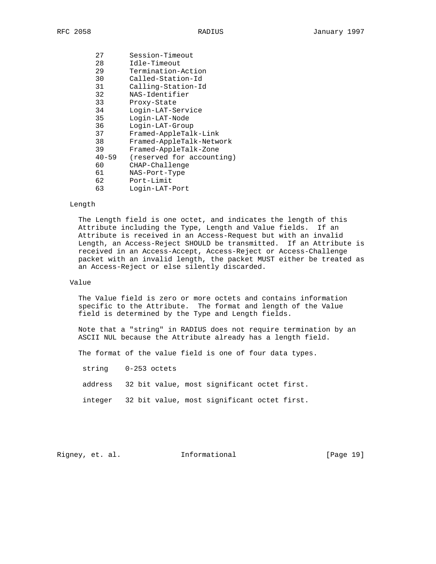| 27        | Session-Timeout           |
|-----------|---------------------------|
| 28        | Idle-Timeout              |
| 29        | Termination-Action        |
| 30        | Called-Station-Id         |
| 31        | Calling-Station-Id        |
| 32        | NAS-Identifier            |
| 33        | Proxy-State               |
| 34        | Login-LAT-Service         |
| 35        | Login-LAT-Node            |
| 36        | Login-LAT-Group           |
| 37        | Framed-AppleTalk-Link     |
| 38        | Framed-AppleTalk-Network  |
| 39        | Framed-AppleTalk-Zone     |
| $40 - 59$ | (reserved for accounting) |
| 60        | CHAP-Challenge            |
| 61        | NAS-Port-Type             |
| 62        | Port-Limit                |
| 63        | Login-LAT-Port            |

# Length

 The Length field is one octet, and indicates the length of this Attribute including the Type, Length and Value fields. If an Attribute is received in an Access-Request but with an invalid Length, an Access-Reject SHOULD be transmitted. If an Attribute is received in an Access-Accept, Access-Reject or Access-Challenge packet with an invalid length, the packet MUST either be treated as an Access-Reject or else silently discarded.

Value

 The Value field is zero or more octets and contains information specific to the Attribute. The format and length of the Value field is determined by the Type and Length fields.

 Note that a "string" in RADIUS does not require termination by an ASCII NUL because the Attribute already has a length field.

The format of the value field is one of four data types.

string 0-253 octets

address 32 bit value, most significant octet first.

integer 32 bit value, most significant octet first.

Rigney, et. al. **Informational** [Page 19]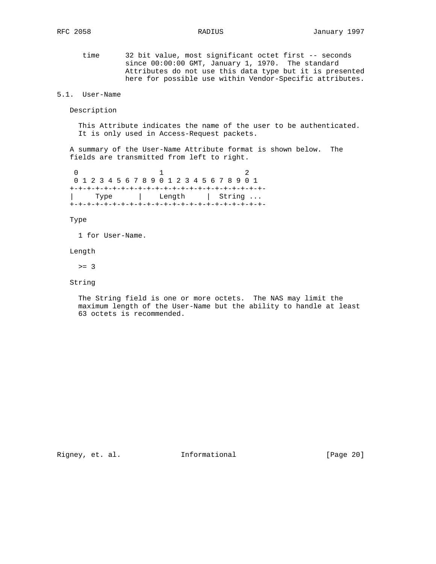time 32 bit value, most significant octet first -- seconds since 00:00:00 GMT, January 1, 1970. The standard Attributes do not use this data type but it is presented here for possible use within Vendor-Specific attributes.

# 5.1. User-Name

Description

 This Attribute indicates the name of the user to be authenticated. It is only used in Access-Request packets.

 A summary of the User-Name Attribute format is shown below. The fields are transmitted from left to right.

 $0$  1 2 0 1 2 3 4 5 6 7 8 9 0 1 2 3 4 5 6 7 8 9 0 1 +-+-+-+-+-+-+-+-+-+-+-+-+-+-+-+-+-+-+-+-+-+-+- | Type | Length | String ... +-+-+-+-+-+-+-+-+-+-+-+-+-+-+-+-+-+-+-+-+-+-+-

Type

1 for User-Name.

### Length

 $\Rightarrow$  = 3

String

 The String field is one or more octets. The NAS may limit the maximum length of the User-Name but the ability to handle at least 63 octets is recommended.

Rigney, et. al. **Informational** [Page 20]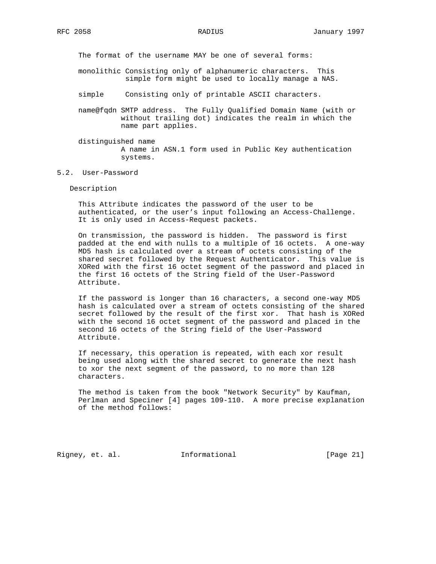The format of the username MAY be one of several forms:

- monolithic Consisting only of alphanumeric characters. This simple form might be used to locally manage a NAS.
- simple Consisting only of printable ASCII characters.
- name@fqdn SMTP address. The Fully Qualified Domain Name (with or without trailing dot) indicates the realm in which the name part applies.
- distinguished name A name in ASN.1 form used in Public Key authentication systems.

# 5.2. User-Password

Description

 This Attribute indicates the password of the user to be authenticated, or the user's input following an Access-Challenge. It is only used in Access-Request packets.

 On transmission, the password is hidden. The password is first padded at the end with nulls to a multiple of 16 octets. A one-way MD5 hash is calculated over a stream of octets consisting of the shared secret followed by the Request Authenticator. This value is XORed with the first 16 octet segment of the password and placed in the first 16 octets of the String field of the User-Password Attribute.

 If the password is longer than 16 characters, a second one-way MD5 hash is calculated over a stream of octets consisting of the shared secret followed by the result of the first xor. That hash is XORed with the second 16 octet segment of the password and placed in the second 16 octets of the String field of the User-Password Attribute.

 If necessary, this operation is repeated, with each xor result being used along with the shared secret to generate the next hash to xor the next segment of the password, to no more than 128 characters.

 The method is taken from the book "Network Security" by Kaufman, Perlman and Speciner [4] pages 109-110. A more precise explanation of the method follows:

Rigney, et. al. **Informational** [Page 21]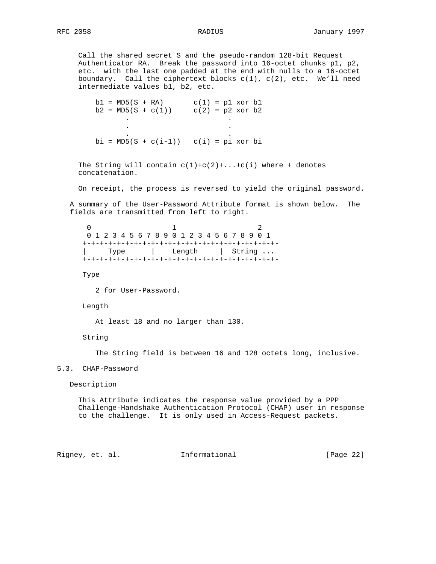Call the shared secret S and the pseudo-random 128-bit Request Authenticator RA. Break the password into 16-octet chunks p1, p2, etc. with the last one padded at the end with nulls to a 16-octet boundary. Call the ciphertext blocks  $c(1)$ ,  $c(2)$ , etc. We'll need intermediate values b1, b2, etc.

 $b1 = MD5(S + RA)$  c(1) = p1 xor b1  $b2 = MD5(S + c(1))$   $c(2) = p2 x$ or  $b2$  . . . . . . bi =  $MD5(S + c(i-1))$  c(i) = pi xor bi

The String will contain  $c(1)+c(2)+...+c(i)$  where + denotes concatenation.

On receipt, the process is reversed to yield the original password.

 A summary of the User-Password Attribute format is shown below. The fields are transmitted from left to right.

```
0 1 2
     0 1 2 3 4 5 6 7 8 9 0 1 2 3 4 5 6 7 8 9 0 1
     +-+-+-+-+-+-+-+-+-+-+-+-+-+-+-+-+-+-+-+-+-+-+-
 | Type | Length | String ...
 +-+-+-+-+-+-+-+-+-+-+-+-+-+-+-+-+-+-+-+-+-+-+-
```
Type

2 for User-Password.

Length

At least 18 and no larger than 130.

String

The String field is between 16 and 128 octets long, inclusive.

# 5.3. CHAP-Password

Description

 This Attribute indicates the response value provided by a PPP Challenge-Handshake Authentication Protocol (CHAP) user in response to the challenge. It is only used in Access-Request packets.

Rigney, et. al. **Informational** [Page 22]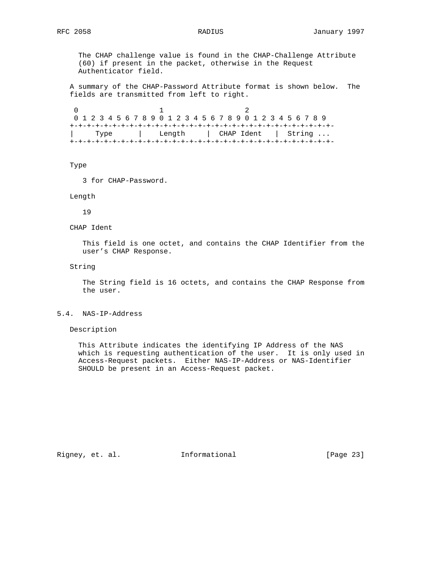The CHAP challenge value is found in the CHAP-Challenge Attribute (60) if present in the packet, otherwise in the Request Authenticator field.

 A summary of the CHAP-Password Attribute format is shown below. The fields are transmitted from left to right.

 $0$  1 2 0 1 2 3 4 5 6 7 8 9 0 1 2 3 4 5 6 7 8 9 0 1 2 3 4 5 6 7 8 9 +-+-+-+-+-+-+-+-+-+-+-+-+-+-+-+-+-+-+-+-+-+-+-+-+-+-+-+-+-+-+- Length | CHAP Ident | String ... +-+-+-+-+-+-+-+-+-+-+-+-+-+-+-+-+-+-+-+-+-+-+-+-+-+-+-+-+-+-+-

### Type

3 for CHAP-Password.

#### Length

19

# CHAP Ident

 This field is one octet, and contains the CHAP Identifier from the user's CHAP Response.

# String

 The String field is 16 octets, and contains the CHAP Response from the user.

# 5.4. NAS-IP-Address

## Description

 This Attribute indicates the identifying IP Address of the NAS which is requesting authentication of the user. It is only used in Access-Request packets. Either NAS-IP-Address or NAS-Identifier SHOULD be present in an Access-Request packet.

Rigney, et. al. 1nformational [Page 23]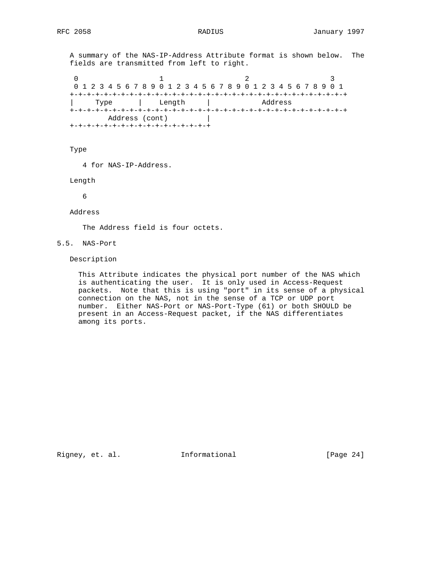A summary of the NAS-IP-Address Attribute format is shown below. The fields are transmitted from left to right.

0  $1$  2 3 0 1 2 3 4 5 6 7 8 9 0 1 2 3 4 5 6 7 8 9 0 1 2 3 4 5 6 7 8 9 0 1 +-+-+-+-+-+-+-+-+-+-+-+-+-+-+-+-+-+-+-+-+-+-+-+-+-+-+-+-+-+-+-+-+ | Type | Length | Address +-+-+-+-+-+-+-+-+-+-+-+-+-+-+-+-+-+-+-+-+-+-+-+-+-+-+-+-+-+-+-+-+ Address (cont) | +-+-+-+-+-+-+-+-+-+-+-+-+-+-+-+-+

Type

4 for NAS-IP-Address.

Length

6

Address

The Address field is four octets.

# 5.5. NAS-Port

Description

 This Attribute indicates the physical port number of the NAS which is authenticating the user. It is only used in Access-Request packets. Note that this is using "port" in its sense of a physical connection on the NAS, not in the sense of a TCP or UDP port number. Either NAS-Port or NAS-Port-Type (61) or both SHOULD be present in an Access-Request packet, if the NAS differentiates among its ports.

Rigney, et. al. 1nformational [Page 24]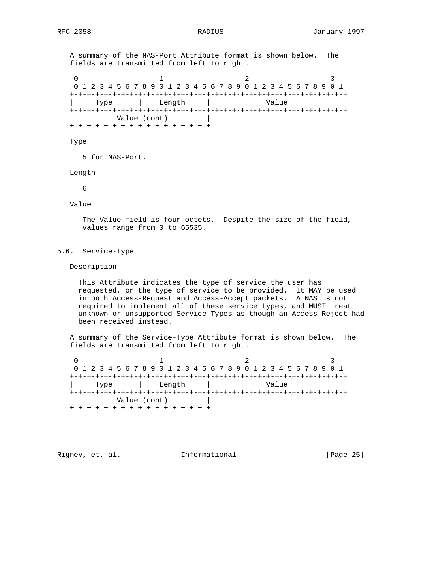A summary of the NAS-Port Attribute format is shown below. The fields are transmitted from left to right. 0  $1$  2 3 0 1 2 3 4 5 6 7 8 9 0 1 2 3 4 5 6 7 8 9 0 1 2 3 4 5 6 7 8 9 0 1 +-+-+-+-+-+-+-+-+-+-+-+-+-+-+-+-+-+-+-+-+-+-+-+-+-+-+-+-+-+-+-+-+

 | Type | Length | Value +-+-+-+-+-+-+-+-+-+-+-+-+-+-+-+-+-+-+-+-+-+-+-+-+-+-+-+-+-+-+-+-+ Value (cont) |

+-+-+-+-+-+-+-+-+-+-+-+-+-+-+-+-+

Type

5 for NAS-Port.

Length

6

Value

 The Value field is four octets. Despite the size of the field, values range from 0 to 65535.

5.6. Service-Type

Description

 This Attribute indicates the type of service the user has requested, or the type of service to be provided. It MAY be used in both Access-Request and Access-Accept packets. A NAS is not required to implement all of these service types, and MUST treat unknown or unsupported Service-Types as though an Access-Reject had been received instead.

 A summary of the Service-Type Attribute format is shown below. The fields are transmitted from left to right.

0  $1$  2 3 0 1 2 3 4 5 6 7 8 9 0 1 2 3 4 5 6 7 8 9 0 1 2 3 4 5 6 7 8 9 0 1 +-+-+-+-+-+-+-+-+-+-+-+-+-+-+-+-+-+-+-+-+-+-+-+-+-+-+-+-+-+-+-+-+ | Type | Length | Value +-+-+-+-+-+-+-+-+-+-+-+-+-+-+-+-+-+-+-+-+-+-+-+-+-+-+-+-+-+-+-+-+ Value (cont) | +-+-+-+-+-+-+-+-+-+-+-+-+-+-+-+-+

Rigney, et. al. **Informational** [Page 25]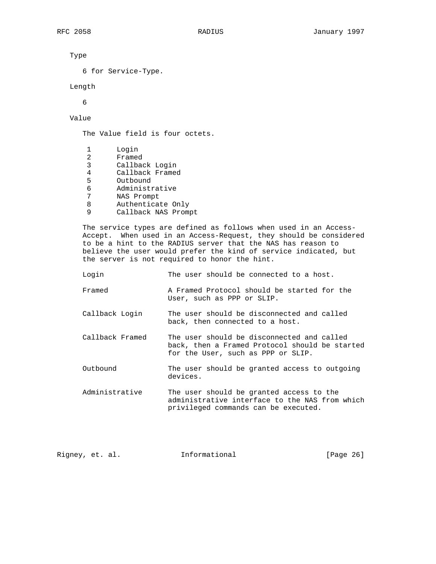| 6 for Service-Type.<br>Length<br>6<br>Value<br>The Value field is four octets.<br>Login<br>1<br>2<br>Framed<br>3<br>Callback Login<br>Callback Framed<br>4<br>5<br>Outbound<br>Administrative<br>6<br>7<br>NAS Prompt<br>Authenticate Only<br>8<br>9<br>Callback NAS Prompt | Type |  |
|-----------------------------------------------------------------------------------------------------------------------------------------------------------------------------------------------------------------------------------------------------------------------------|------|--|
|                                                                                                                                                                                                                                                                             |      |  |
|                                                                                                                                                                                                                                                                             |      |  |
|                                                                                                                                                                                                                                                                             |      |  |
|                                                                                                                                                                                                                                                                             |      |  |
|                                                                                                                                                                                                                                                                             |      |  |
|                                                                                                                                                                                                                                                                             |      |  |
|                                                                                                                                                                                                                                                                             |      |  |
|                                                                                                                                                                                                                                                                             |      |  |
|                                                                                                                                                                                                                                                                             |      |  |
|                                                                                                                                                                                                                                                                             |      |  |
|                                                                                                                                                                                                                                                                             |      |  |
|                                                                                                                                                                                                                                                                             |      |  |
|                                                                                                                                                                                                                                                                             |      |  |
|                                                                                                                                                                                                                                                                             |      |  |

 The service types are defined as follows when used in an Access- Accept. When used in an Access-Request, they should be considered to be a hint to the RADIUS server that the NAS has reason to believe the user would prefer the kind of service indicated, but the server is not required to honor the hint.

Login The user should be connected to a host.

Framed A Framed Protocol should be started for the User, such as PPP or SLIP.

 Callback Login The user should be disconnected and called back, then connected to a host.

 Callback Framed The user should be disconnected and called back, then a Framed Protocol should be started for the User, such as PPP or SLIP.

 Outbound The user should be granted access to outgoing devices.

 Administrative The user should be granted access to the administrative interface to the NAS from which privileged commands can be executed.

Rigney, et. al. **Informational** [Page 26]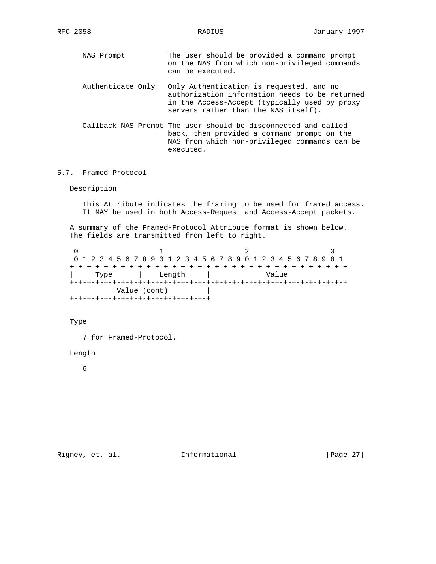- NAS Prompt The user should be provided a command prompt on the NAS from which non-privileged commands can be executed.
- Authenticate Only Only Authentication is requested, and no authorization information needs to be returned in the Access-Accept (typically used by proxy servers rather than the NAS itself).
- Callback NAS Prompt The user should be disconnected and called back, then provided a command prompt on the NAS from which non-privileged commands can be executed.
- 5.7. Framed-Protocol

Description

 This Attribute indicates the framing to be used for framed access. It MAY be used in both Access-Request and Access-Accept packets.

 A summary of the Framed-Protocol Attribute format is shown below. The fields are transmitted from left to right.

0  $1$  2 3 0 1 2 3 4 5 6 7 8 9 0 1 2 3 4 5 6 7 8 9 0 1 2 3 4 5 6 7 8 9 0 1 +-+-+-+-+-+-+-+-+-+-+-+-+-+-+-+-+-+-+-+-+-+-+-+-+-+-+-+-+-+-+-+-+ | Type | Length | Value +-+-+-+-+-+-+-+-+-+-+-+-+-+-+-+-+-+-+-+-+-+-+-+-+-+-+-+-+-+-+-+-+ Value (cont) | +-+-+-+-+-+-+-+-+-+-+-+-+-+-+-+-+

Type

7 for Framed-Protocol.

Length

6

Rigney, et. al. **Informational** [Page 27]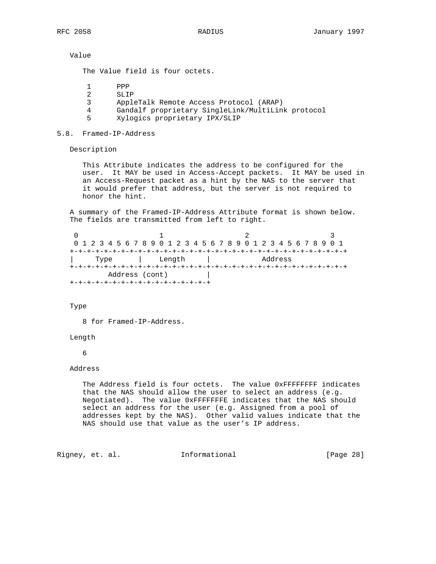Value

The Value field is four octets.

- 1 PPP
- 2 SLIP
- 3 AppleTalk Remote Access Protocol (ARAP)
- 4 Gandalf proprietary SingleLink/MultiLink protocol
- 5 Xylogics proprietary IPX/SLIP

# 5.8. Framed-IP-Address

Description

 This Attribute indicates the address to be configured for the user. It MAY be used in Access-Accept packets. It MAY be used in an Access-Request packet as a hint by the NAS to the server that it would prefer that address, but the server is not required to honor the hint.

 A summary of the Framed-IP-Address Attribute format is shown below. The fields are transmitted from left to right.

| 0 1 2 3 4 5 6 7 8 9 0 1 2 3 4 5 6 7 8 9 0 1 2 3 4 5 6 7 8 9 0 1 |  |  |  |  |  |  |  |  |  |  |  |  |  |  |  |  |         |  |  |  |  |  |  |  |
|-----------------------------------------------------------------|--|--|--|--|--|--|--|--|--|--|--|--|--|--|--|--|---------|--|--|--|--|--|--|--|
| Length<br>Type                                                  |  |  |  |  |  |  |  |  |  |  |  |  |  |  |  |  | Address |  |  |  |  |  |  |  |
|                                                                 |  |  |  |  |  |  |  |  |  |  |  |  |  |  |  |  |         |  |  |  |  |  |  |  |
| Address (cont)                                                  |  |  |  |  |  |  |  |  |  |  |  |  |  |  |  |  |         |  |  |  |  |  |  |  |
|                                                                 |  |  |  |  |  |  |  |  |  |  |  |  |  |  |  |  |         |  |  |  |  |  |  |  |

# Type

8 for Framed-IP-Address.

# Length

#### 6

# Address

 The Address field is four octets. The value 0xFFFFFFFF indicates that the NAS should allow the user to select an address (e.g. Negotiated). The value 0xFFFFFFFE indicates that the NAS should select an address for the user (e.g. Assigned from a pool of addresses kept by the NAS). Other valid values indicate that the NAS should use that value as the user's IP address.

Rigney, et. al. 10. Informational [Page 28]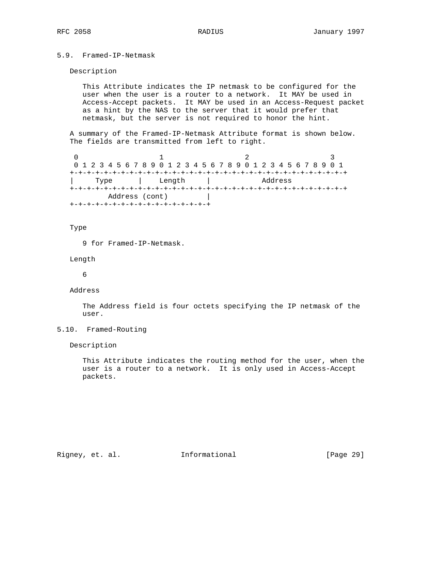# 5.9. Framed-IP-Netmask

Description

 This Attribute indicates the IP netmask to be configured for the user when the user is a router to a network. It MAY be used in Access-Accept packets. It MAY be used in an Access-Request packet as a hint by the NAS to the server that it would prefer that netmask, but the server is not required to honor the hint.

 A summary of the Framed-IP-Netmask Attribute format is shown below. The fields are transmitted from left to right.

0  $1$  2 3 0 1 2 3 4 5 6 7 8 9 0 1 2 3 4 5 6 7 8 9 0 1 2 3 4 5 6 7 8 9 0 1 +-+-+-+-+-+-+-+-+-+-+-+-+-+-+-+-+-+-+-+-+-+-+-+-+-+-+-+-+-+-+-+-+ | Type | Length | +-+-+-+-+-+-+-+-+-+-+-+-+-+-+-+-+-+-+-+-+-+-+-+-+-+-+-+-+-+-+-+-+ Address (cont) | +-+-+-+-+-+-+-+-+-+-+-+-+-+-+-+-+

Type

9 for Framed-IP-Netmask.

Length

6

Address

 The Address field is four octets specifying the IP netmask of the user.

# 5.10. Framed-Routing

Description

 This Attribute indicates the routing method for the user, when the user is a router to a network. It is only used in Access-Accept packets.

Rigney, et. al. 10. Informational [Page 29]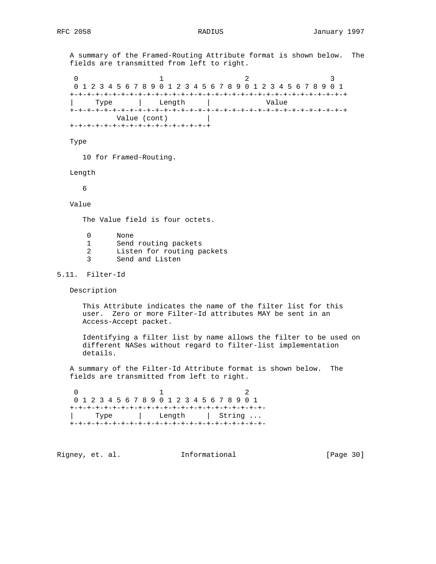A summary of the Framed-Routing Attribute format is shown below. The fields are transmitted from left to right.

0  $1$  2 3 0 1 2 3 4 5 6 7 8 9 0 1 2 3 4 5 6 7 8 9 0 1 2 3 4 5 6 7 8 9 0 1 +-+-+-+-+-+-+-+-+-+-+-+-+-+-+-+-+-+-+-+-+-+-+-+-+-+-+-+-+-+-+-+-+ | Type | Length | Value +-+-+-+-+-+-+-+-+-+-+-+-+-+-+-+-+-+-+-+-+-+-+-+-+-+-+-+-+-+-+-+-+ Value (cont) | +-+-+-+-+-+-+-+-+-+-+-+-+-+-+-+-+

Type

10 for Framed-Routing.

Length

6

Value

The Value field is four octets.

- 0 None
- 1 Send routing packets<br>2 Listen for routing pa
- Listen for routing packets
- 3 Send and Listen

# 5.11. Filter-Id

Description

 This Attribute indicates the name of the filter list for this user. Zero or more Filter-Id attributes MAY be sent in an Access-Accept packet.

 Identifying a filter list by name allows the filter to be used on different NASes without regard to filter-list implementation details.

 A summary of the Filter-Id Attribute format is shown below. The fields are transmitted from left to right.

 $0$  1 2 0 1 2 3 4 5 6 7 8 9 0 1 2 3 4 5 6 7 8 9 0 1 +-+-+-+-+-+-+-+-+-+-+-+-+-+-+-+-+-+-+-+-+-+-+- | Type | Length | String ... +-+-+-+-+-+-+-+-+-+-+-+-+-+-+-+-+-+-+-+-+-+-+-

Rigney, et. al. 10. Informational 1. [Page 30]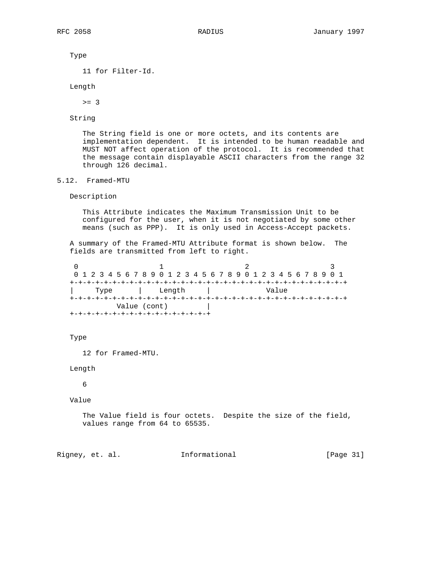Type

11 for Filter-Id.

Length

 $>= 3$ 

String

 The String field is one or more octets, and its contents are implementation dependent. It is intended to be human readable and MUST NOT affect operation of the protocol. It is recommended that the message contain displayable ASCII characters from the range 32 through 126 decimal.

# 5.12. Framed-MTU

Description

 This Attribute indicates the Maximum Transmission Unit to be configured for the user, when it is not negotiated by some other means (such as PPP). It is only used in Access-Accept packets.

 A summary of the Framed-MTU Attribute format is shown below. The fields are transmitted from left to right.

0  $1$  2 3 0 1 2 3 4 5 6 7 8 9 0 1 2 3 4 5 6 7 8 9 0 1 2 3 4 5 6 7 8 9 0 1 +-+-+-+-+-+-+-+-+-+-+-+-+-+-+-+-+-+-+-+-+-+-+-+-+-+-+-+-+-+-+-+-+ | Type | Length | Value +-+-+-+-+-+-+-+-+-+-+-+-+-+-+-+-+-+-+-+-+-+-+-+-+-+-+-+-+-+-+-+-+ Value (cont) | +-+-+-+-+-+-+-+-+-+-+-+-+-+-+-+-+

## Type

12 for Framed-MTU.

Length

6

Value

 The Value field is four octets. Despite the size of the field, values range from 64 to 65535.

Rigney, et. al. **Informational** [Page 31]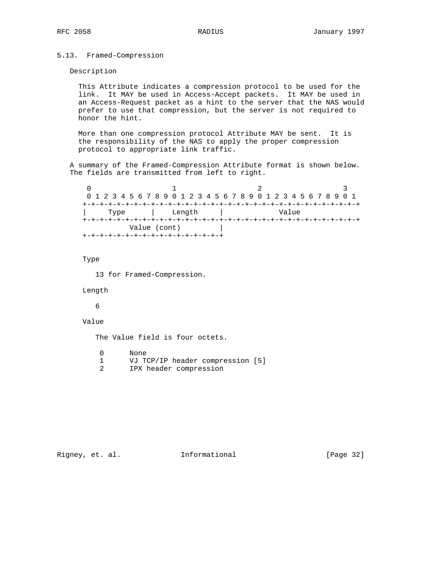# 5.13. Framed-Compression

Description

 This Attribute indicates a compression protocol to be used for the link. It MAY be used in Access-Accept packets. It MAY be used in an Access-Request packet as a hint to the server that the NAS would prefer to use that compression, but the server is not required to honor the hint.

 More than one compression protocol Attribute MAY be sent. It is the responsibility of the NAS to apply the proper compression protocol to appropriate link traffic.

 A summary of the Framed-Compression Attribute format is shown below. The fields are transmitted from left to right.

0  $1$  2 3 0 1 2 3 4 5 6 7 8 9 0 1 2 3 4 5 6 7 8 9 0 1 2 3 4 5 6 7 8 9 0 1 +-+-+-+-+-+-+-+-+-+-+-+-+-+-+-+-+-+-+-+-+-+-+-+-+-+-+-+-+-+-+-+-+ | Type | Length | Value +-+-+-+-+-+-+-+-+-+-+-+-+-+-+-+-+-+-+-+-+-+-+-+-+-+-+-+-+-+-+-+-+ Value (cont) | +-+-+-+-+-+-+-+-+-+-+-+-+-+-+-+-+

Type

13 for Framed-Compression.

Length

6

Value

The Value field is four octets.

- 0 None
- 1 VJ TCP/IP header compression [5]<br>2 IPX header compression
- IPX header compression

Rigney, et. al. 1nformational [Page 32]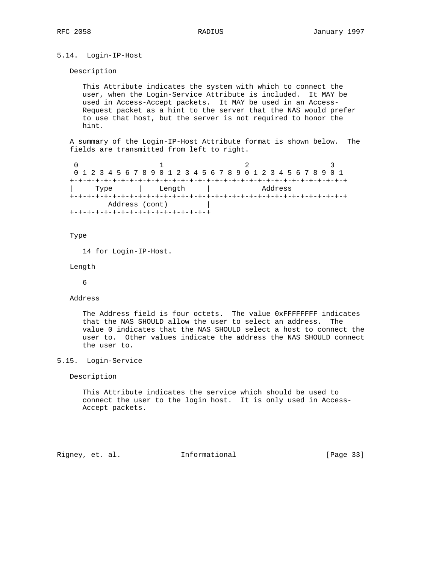# 5.14. Login-IP-Host

Description

 This Attribute indicates the system with which to connect the user, when the Login-Service Attribute is included. It MAY be used in Access-Accept packets. It MAY be used in an Access- Request packet as a hint to the server that the NAS would prefer to use that host, but the server is not required to honor the hint.

 A summary of the Login-IP-Host Attribute format is shown below. The fields are transmitted from left to right.

0  $1$  2 3 0 1 2 3 4 5 6 7 8 9 0 1 2 3 4 5 6 7 8 9 0 1 2 3 4 5 6 7 8 9 0 1 +-+-+-+-+-+-+-+-+-+-+-+-+-+-+-+-+-+-+-+-+-+-+-+-+-+-+-+-+-+-+-+-+ | Type | Length | Address +-+-+-+-+-+-+-+-+-+-+-+-+-+-+-+-+-+-+-+-+-+-+-+-+-+-+-+-+-+-+-+-+ Address (cont) | +-+-+-+-+-+-+-+-+-+-+-+-+-+-+-+-+

Type

14 for Login-IP-Host.

Length

6

Address

 The Address field is four octets. The value 0xFFFFFFFF indicates that the NAS SHOULD allow the user to select an address. The value 0 indicates that the NAS SHOULD select a host to connect the user to. Other values indicate the address the NAS SHOULD connect the user to.

# 5.15. Login-Service

Description

 This Attribute indicates the service which should be used to connect the user to the login host. It is only used in Access- Accept packets.

Rigney, et. al. **Informational** [Page 33]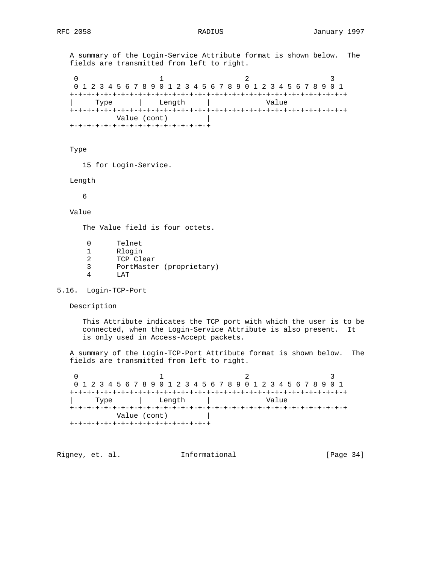A summary of the Login-Service Attribute format is shown below. The fields are transmitted from left to right.

0  $1$  2 3 0 1 2 3 4 5 6 7 8 9 0 1 2 3 4 5 6 7 8 9 0 1 2 3 4 5 6 7 8 9 0 1 +-+-+-+-+-+-+-+-+-+-+-+-+-+-+-+-+-+-+-+-+-+-+-+-+-+-+-+-+-+-+-+-+ | Type | Length | Value +-+-+-+-+-+-+-+-+-+-+-+-+-+-+-+-+-+-+-+-+-+-+-+-+-+-+-+-+-+-+-+-+ Value (cont) | +-+-+-+-+-+-+-+-+-+-+-+-+-+-+-+-+

Type

15 for Login-Service.

Length

6

Value

The Value field is four octets.

- 0 Telnet
- 1 Rlogin
- 2 TCP Clear
- 3 PortMaster (proprietary)
- 4 LAT

5.16. Login-TCP-Port

Description

 This Attribute indicates the TCP port with which the user is to be connected, when the Login-Service Attribute is also present. It is only used in Access-Accept packets.

 A summary of the Login-TCP-Port Attribute format is shown below. The fields are transmitted from left to right.

0  $1$  2 3 0 1 2 3 4 5 6 7 8 9 0 1 2 3 4 5 6 7 8 9 0 1 2 3 4 5 6 7 8 9 0 1 +-+-+-+-+-+-+-+-+-+-+-+-+-+-+-+-+-+-+-+-+-+-+-+-+-+-+-+-+-+-+-+-+ | Type | Length | Value +-+-+-+-+-+-+-+-+-+-+-+-+-+-+-+-+-+-+-+-+-+-+-+-+-+-+-+-+-+-+-+-+ Value (cont) | +-+-+-+-+-+-+-+-+-+-+-+-+-+-+-+-+

Rigney, et. al. **Informational** [Page 34]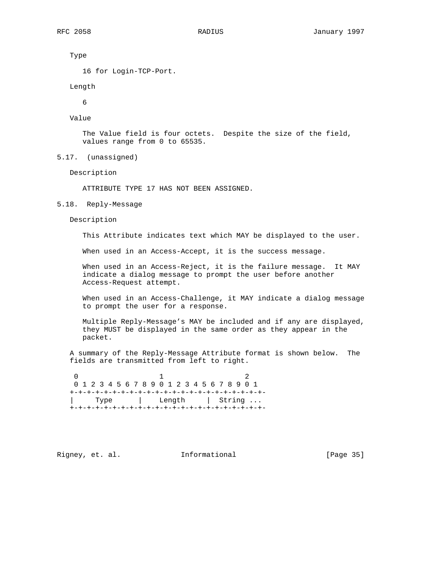Type

16 for Login-TCP-Port.

Length

6

Value

 The Value field is four octets. Despite the size of the field, values range from 0 to 65535.

5.17. (unassigned)

Description

ATTRIBUTE TYPE 17 HAS NOT BEEN ASSIGNED.

5.18. Reply-Message

Description

This Attribute indicates text which MAY be displayed to the user.

When used in an Access-Accept, it is the success message.

 When used in an Access-Reject, it is the failure message. It MAY indicate a dialog message to prompt the user before another Access-Request attempt.

 When used in an Access-Challenge, it MAY indicate a dialog message to prompt the user for a response.

 Multiple Reply-Message's MAY be included and if any are displayed, they MUST be displayed in the same order as they appear in the packet.

 A summary of the Reply-Message Attribute format is shown below. The fields are transmitted from left to right.

 $\begin{array}{ccc} 0 & 1 & 2 \end{array}$  0 1 2 3 4 5 6 7 8 9 0 1 2 3 4 5 6 7 8 9 0 1 +-+-+-+-+-+-+-+-+-+-+-+-+-+-+-+-+-+-+-+-+-+-+- | Type | Length | String ... +-+-+-+-+-+-+-+-+-+-+-+-+-+-+-+-+-+-+-+-+-+-+-

Rigney, et. al. **Informational** [Page 35]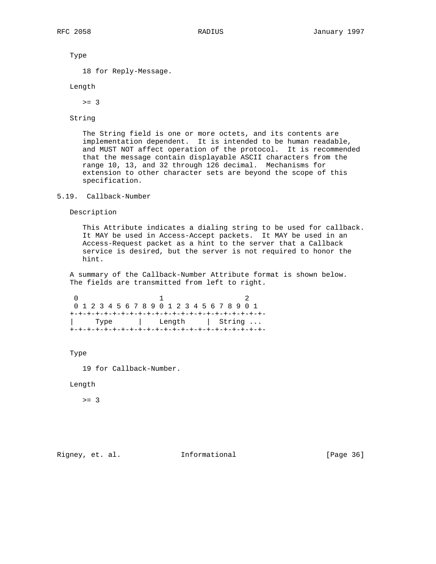Type

18 for Reply-Message.

Length

 $>= 3$ 

String

 The String field is one or more octets, and its contents are implementation dependent. It is intended to be human readable, and MUST NOT affect operation of the protocol. It is recommended that the message contain displayable ASCII characters from the range 10, 13, and 32 through 126 decimal. Mechanisms for extension to other character sets are beyond the scope of this specification.

### 5.19. Callback-Number

Description

 This Attribute indicates a dialing string to be used for callback. It MAY be used in Access-Accept packets. It MAY be used in an Access-Request packet as a hint to the server that a Callback service is desired, but the server is not required to honor the hint.

 A summary of the Callback-Number Attribute format is shown below. The fields are transmitted from left to right.

| 0 1 2 3 4 5 6 7 8 9 0 1 2 3 4 5 6 7 8 9 0 1 |  |  |  |  |  |  |  |  |  |  |  |  |  |  |  |  |                        |  |
|---------------------------------------------|--|--|--|--|--|--|--|--|--|--|--|--|--|--|--|--|------------------------|--|
|                                             |  |  |  |  |  |  |  |  |  |  |  |  |  |  |  |  |                        |  |
|                                             |  |  |  |  |  |  |  |  |  |  |  |  |  |  |  |  | Type   Length   String |  |
|                                             |  |  |  |  |  |  |  |  |  |  |  |  |  |  |  |  |                        |  |

## Type

19 for Callback-Number.

Length

 $>= 3$ 

Rigney, et. al. **Informational** [Page 36]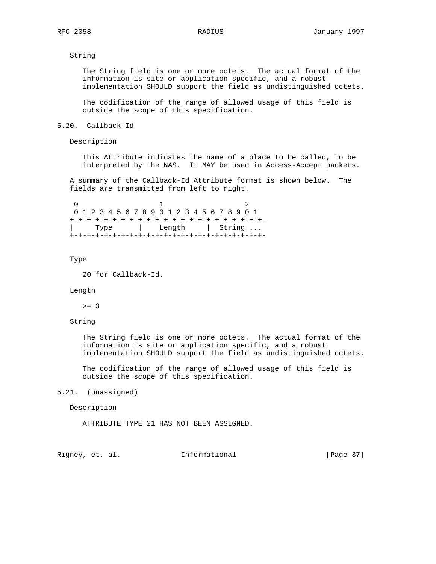String

 The String field is one or more octets. The actual format of the information is site or application specific, and a robust implementation SHOULD support the field as undistinguished octets.

 The codification of the range of allowed usage of this field is outside the scope of this specification.

5.20. Callback-Id

Description

 This Attribute indicates the name of a place to be called, to be interpreted by the NAS. It MAY be used in Access-Accept packets.

 A summary of the Callback-Id Attribute format is shown below. The fields are transmitted from left to right.

|  | 0 1 2 3 4 5 6 7 8 9 0 1 2 3 4 5 6 7 8 9 0 1 |  |  |  |  |  |  |  |  |  |  |  |  |  |  |                        |  |
|--|---------------------------------------------|--|--|--|--|--|--|--|--|--|--|--|--|--|--|------------------------|--|
|  |                                             |  |  |  |  |  |  |  |  |  |  |  |  |  |  |                        |  |
|  |                                             |  |  |  |  |  |  |  |  |  |  |  |  |  |  | Type   Length   String |  |
|  |                                             |  |  |  |  |  |  |  |  |  |  |  |  |  |  |                        |  |

### Type

20 for Callback-Id.

## Length

 $>= 3$ 

String

 The String field is one or more octets. The actual format of the information is site or application specific, and a robust implementation SHOULD support the field as undistinguished octets.

 The codification of the range of allowed usage of this field is outside the scope of this specification.

### 5.21. (unassigned)

Description

ATTRIBUTE TYPE 21 HAS NOT BEEN ASSIGNED.

| Rigney, et. al. |  |  | Informational | [Page 37] |  |  |
|-----------------|--|--|---------------|-----------|--|--|
|-----------------|--|--|---------------|-----------|--|--|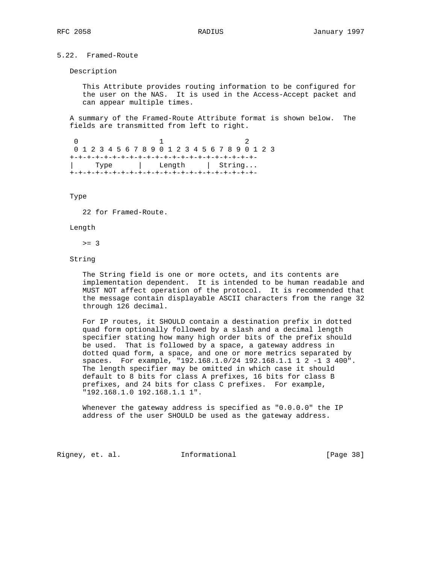# 5.22. Framed-Route

Description

 This Attribute provides routing information to be configured for the user on the NAS. It is used in the Access-Accept packet and can appear multiple times.

 A summary of the Framed-Route Attribute format is shown below. The fields are transmitted from left to right.

 $\begin{array}{ccc} 0 & 1 & 2 \end{array}$  0 1 2 3 4 5 6 7 8 9 0 1 2 3 4 5 6 7 8 9 0 1 2 3 +-+-+-+-+-+-+-+-+-+-+-+-+-+-+-+-+-+-+-+-+-+- Length | String... +-+-+-+-+-+-+-+-+-+-+-+-+-+-+-+-+-+-+-+-+-+-

Type

22 for Framed-Route.

## Length

 $>= 3$ 

#### String

 The String field is one or more octets, and its contents are implementation dependent. It is intended to be human readable and MUST NOT affect operation of the protocol. It is recommended that the message contain displayable ASCII characters from the range 32 through 126 decimal.

 For IP routes, it SHOULD contain a destination prefix in dotted quad form optionally followed by a slash and a decimal length specifier stating how many high order bits of the prefix should be used. That is followed by a space, a gateway address in dotted quad form, a space, and one or more metrics separated by spaces. For example, "192.168.1.0/24 192.168.1.1 1 2 -1 3 400". The length specifier may be omitted in which case it should default to 8 bits for class A prefixes, 16 bits for class B prefixes, and 24 bits for class C prefixes. For example, "192.168.1.0 192.168.1.1 1".

 Whenever the gateway address is specified as "0.0.0.0" the IP address of the user SHOULD be used as the gateway address.

Rigney, et. al. **Informational** [Page 38]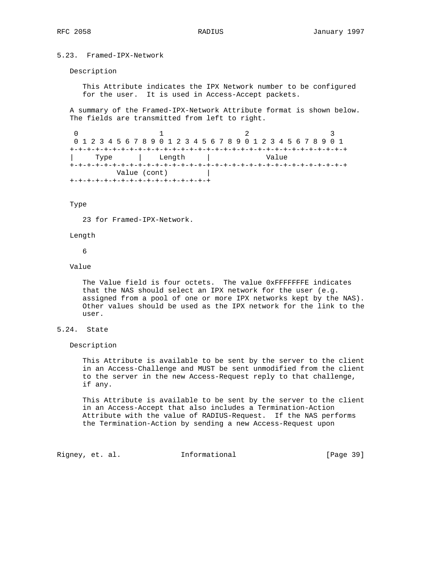# 5.23. Framed-IPX-Network

#### Description

 This Attribute indicates the IPX Network number to be configured for the user. It is used in Access-Accept packets.

 A summary of the Framed-IPX-Network Attribute format is shown below. The fields are transmitted from left to right.

0  $1$  2 3 0 1 2 3 4 5 6 7 8 9 0 1 2 3 4 5 6 7 8 9 0 1 2 3 4 5 6 7 8 9 0 1 +-+-+-+-+-+-+-+-+-+-+-+-+-+-+-+-+-+-+-+-+-+-+-+-+-+-+-+-+-+-+-+-+ | Type | Length | Value +-+-+-+-+-+-+-+-+-+-+-+-+-+-+-+-+-+-+-+-+-+-+-+-+-+-+-+-+-+-+-+-+ Value (cont) | +-+-+-+-+-+-+-+-+-+-+-+-+-+-+-+-+

### Type

23 for Framed-IPX-Network.

Length

### 6

Value

 The Value field is four octets. The value 0xFFFFFFFE indicates that the NAS should select an IPX network for the user (e.g. assigned from a pool of one or more IPX networks kept by the NAS). Other values should be used as the IPX network for the link to the user.

# 5.24. State

Description

 This Attribute is available to be sent by the server to the client in an Access-Challenge and MUST be sent unmodified from the client to the server in the new Access-Request reply to that challenge, if any.

 This Attribute is available to be sent by the server to the client in an Access-Accept that also includes a Termination-Action Attribute with the value of RADIUS-Request. If the NAS performs the Termination-Action by sending a new Access-Request upon

Rigney, et. al. 1nformational 1999 [Page 39]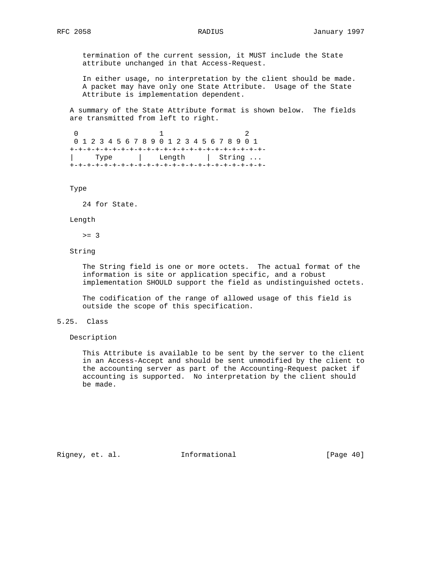termination of the current session, it MUST include the State attribute unchanged in that Access-Request.

 In either usage, no interpretation by the client should be made. A packet may have only one State Attribute. Usage of the State Attribute is implementation dependent.

 A summary of the State Attribute format is shown below. The fields are transmitted from left to right.

| 0 1 2 3 4 5 6 7 8 9 0 1 2 3 4 5 6 7 8 9 0 1 |  |  |  |  |  |  |  |  |  |                        |
|---------------------------------------------|--|--|--|--|--|--|--|--|--|------------------------|
|                                             |  |  |  |  |  |  |  |  |  |                        |
|                                             |  |  |  |  |  |  |  |  |  | Type   Length   String |
|                                             |  |  |  |  |  |  |  |  |  |                        |

#### Type

24 for State.

## Length

 $>= 3$ 

## String

 The String field is one or more octets. The actual format of the information is site or application specific, and a robust implementation SHOULD support the field as undistinguished octets.

 The codification of the range of allowed usage of this field is outside the scope of this specification.

# 5.25. Class

Description

 This Attribute is available to be sent by the server to the client in an Access-Accept and should be sent unmodified by the client to the accounting server as part of the Accounting-Request packet if accounting is supported. No interpretation by the client should be made.

Rigney, et. al. **Informational** [Page 40]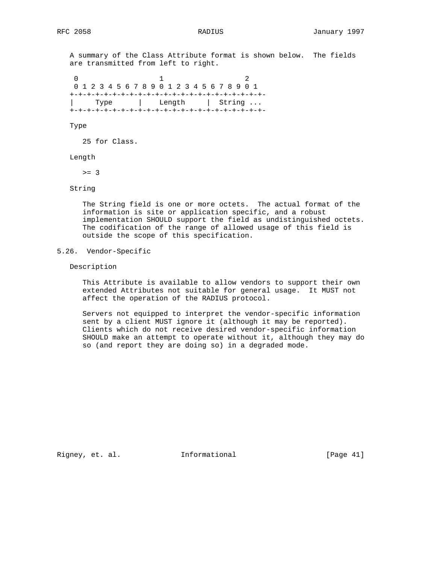A summary of the Class Attribute format is shown below. The fields are transmitted from left to right.

 $0$  1 2 0 1 2 3 4 5 6 7 8 9 0 1 2 3 4 5 6 7 8 9 0 1 +-+-+-+-+-+-+-+-+-+-+-+-+-+-+-+-+-+-+-+-+-+-+- | Type | Length | String ... +-+-+-+-+-+-+-+-+-+-+-+-+-+-+-+-+-+-+-+-+-+-+-

Type

25 for Class.

Length

 $>= 3$ 

String

 The String field is one or more octets. The actual format of the information is site or application specific, and a robust implementation SHOULD support the field as undistinguished octets. The codification of the range of allowed usage of this field is outside the scope of this specification.

# 5.26. Vendor-Specific

Description

 This Attribute is available to allow vendors to support their own extended Attributes not suitable for general usage. It MUST not affect the operation of the RADIUS protocol.

 Servers not equipped to interpret the vendor-specific information sent by a client MUST ignore it (although it may be reported). Clients which do not receive desired vendor-specific information SHOULD make an attempt to operate without it, although they may do so (and report they are doing so) in a degraded mode.

Rigney, et. al. **Informational** [Page 41]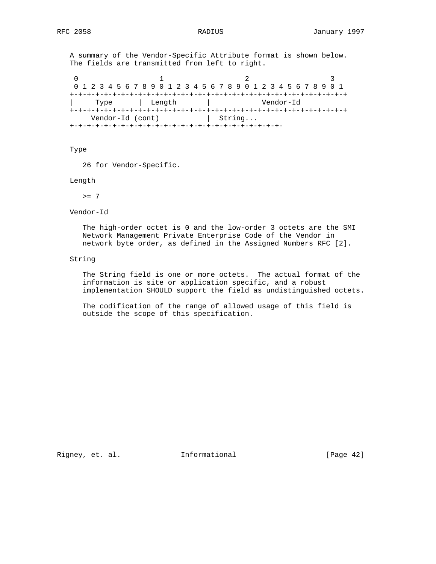A summary of the Vendor-Specific Attribute format is shown below. The fields are transmitted from left to right.

0  $1$  2 3 0 1 2 3 4 5 6 7 8 9 0 1 2 3 4 5 6 7 8 9 0 1 2 3 4 5 6 7 8 9 0 1 +-+-+-+-+-+-+-+-+-+-+-+-+-+-+-+-+-+-+-+-+-+-+-+-+-+-+-+-+-+-+-+-+ | Type | Length | Vendor-Id +-+-+-+-+-+-+-+-+-+-+-+-+-+-+-+-+-+-+-+-+-+-+-+-+-+-+-+-+-+-+-+-+ Vendor-Id (cont) | String... +-+-+-+-+-+-+-+-+-+-+-+-+-+-+-+-+-+-+-+-+-+-+-+-+-

Type

26 for Vendor-Specific.

Length

 $>= 7$ 

Vendor-Id

 The high-order octet is 0 and the low-order 3 octets are the SMI Network Management Private Enterprise Code of the Vendor in network byte order, as defined in the Assigned Numbers RFC [2].

String

 The String field is one or more octets. The actual format of the information is site or application specific, and a robust implementation SHOULD support the field as undistinguished octets.

 The codification of the range of allowed usage of this field is outside the scope of this specification.

Rigney, et. al. **Informational** [Page 42]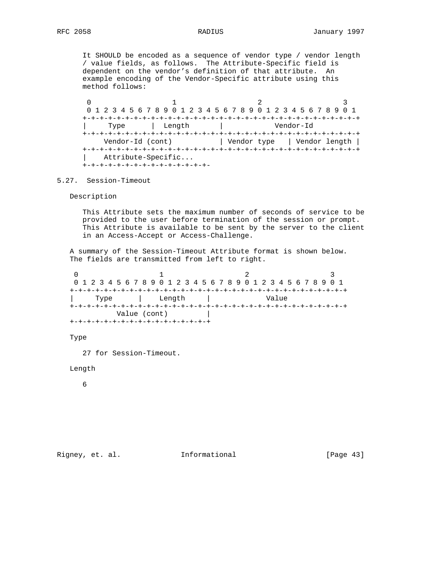It SHOULD be encoded as a sequence of vendor type / vendor length / value fields, as follows. The Attribute-Specific field is dependent on the vendor's definition of that attribute. An example encoding of the Vendor-Specific attribute using this method follows:

 $0$  1 2 3 0 1 2 3 4 5 6 7 8 9 0 1 2 3 4 5 6 7 8 9 0 1 2 3 4 5 6 7 8 9 0 1 +-+-+-+-+-+-+-+-+-+-+-+-+-+-+-+-+-+-+-+-+-+-+-+-+-+-+-+-+-+-+-+-+ | Type | Length | Vendor-Id +-+-+-+-+-+-+-+-+-+-+-+-+-+-+-+-+-+-+-+-+-+-+-+-+-+-+-+-+-+-+-+-+ Vendor-Id (cont) | Vendor type | Vendor length | +-+-+-+-+-+-+-+-+-+-+-+-+-+-+-+-+-+-+-+-+-+-+-+-+-+-+-+-+-+-+-+-+ | Attribute-Specific... +-+-+-+-+-+-+-+-+-+-+-+-+-+-+-

# 5.27. Session-Timeout

Description

 This Attribute sets the maximum number of seconds of service to be provided to the user before termination of the session or prompt. This Attribute is available to be sent by the server to the client in an Access-Accept or Access-Challenge.

 A summary of the Session-Timeout Attribute format is shown below. The fields are transmitted from left to right.

| 0 1 2 3 4 5 6 7 8 9 0 1 2 3 4 5 6 7 8 9 0 1 2 3 4 5 6 7 8 9 0 1 |  |                         |        |  |  |  |  |  |       |  |  |  |  |
|-----------------------------------------------------------------|--|-------------------------|--------|--|--|--|--|--|-------|--|--|--|--|
|                                                                 |  |                         |        |  |  |  |  |  |       |  |  |  |  |
| Type                                                            |  |                         | Length |  |  |  |  |  | Value |  |  |  |  |
|                                                                 |  |                         |        |  |  |  |  |  |       |  |  |  |  |
|                                                                 |  | Value (cont)            |        |  |  |  |  |  |       |  |  |  |  |
|                                                                 |  | +-+-+-+-+-+-+-+-+-+-+-+ |        |  |  |  |  |  |       |  |  |  |  |

## Type

27 for Session-Timeout.

Length

6

Rigney, et. al. 10. Informational [Page 43]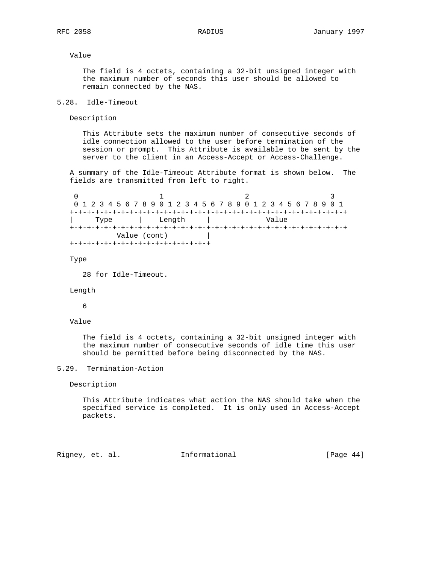Value

 The field is 4 octets, containing a 32-bit unsigned integer with the maximum number of seconds this user should be allowed to remain connected by the NAS.

5.28. Idle-Timeout

Description

 This Attribute sets the maximum number of consecutive seconds of idle connection allowed to the user before termination of the session or prompt. This Attribute is available to be sent by the server to the client in an Access-Accept or Access-Challenge.

 A summary of the Idle-Timeout Attribute format is shown below. The fields are transmitted from left to right.

0  $1$  2 3 0 1 2 3 4 5 6 7 8 9 0 1 2 3 4 5 6 7 8 9 0 1 2 3 4 5 6 7 8 9 0 1 +-+-+-+-+-+-+-+-+-+-+-+-+-+-+-+-+-+-+-+-+-+-+-+-+-+-+-+-+-+-+-+-+ | Type | Length | Value +-+-+-+-+-+-+-+-+-+-+-+-+-+-+-+-+-+-+-+-+-+-+-+-+-+-+-+-+-+-+-+-+ Value (cont) | +-+-+-+-+-+-+-+-+-+-+-+-+-+-+-+-+

Type

28 for Idle-Timeout.

Length

6

Value

 The field is 4 octets, containing a 32-bit unsigned integer with the maximum number of consecutive seconds of idle time this user should be permitted before being disconnected by the NAS.

# 5.29. Termination-Action

Description

 This Attribute indicates what action the NAS should take when the specified service is completed. It is only used in Access-Accept packets.

Rigney, et. al. **Informational** [Page 44]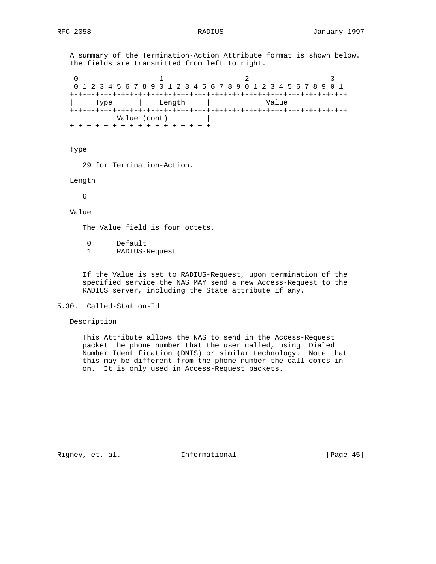A summary of the Termination-Action Attribute format is shown below. The fields are transmitted from left to right.

0  $1$  2 3 0 1 2 3 4 5 6 7 8 9 0 1 2 3 4 5 6 7 8 9 0 1 2 3 4 5 6 7 8 9 0 1 +-+-+-+-+-+-+-+-+-+-+-+-+-+-+-+-+-+-+-+-+-+-+-+-+-+-+-+-+-+-+-+-+ | Type | Length | Value +-+-+-+-+-+-+-+-+-+-+-+-+-+-+-+-+-+-+-+-+-+-+-+-+-+-+-+-+-+-+-+-+ Value (cont) | +-+-+-+-+-+-+-+-+-+-+-+-+-+-+-+-+

Type

29 for Termination-Action.

Length

6

#### Value

The Value field is four octets.

0 Default

1 RADIUS-Request

 If the Value is set to RADIUS-Request, upon termination of the specified service the NAS MAY send a new Access-Request to the RADIUS server, including the State attribute if any.

### 5.30. Called-Station-Id

Description

 This Attribute allows the NAS to send in the Access-Request packet the phone number that the user called, using Dialed Number Identification (DNIS) or similar technology. Note that this may be different from the phone number the call comes in on. It is only used in Access-Request packets.

Rigney, et. al. 10. Informational [Page 45]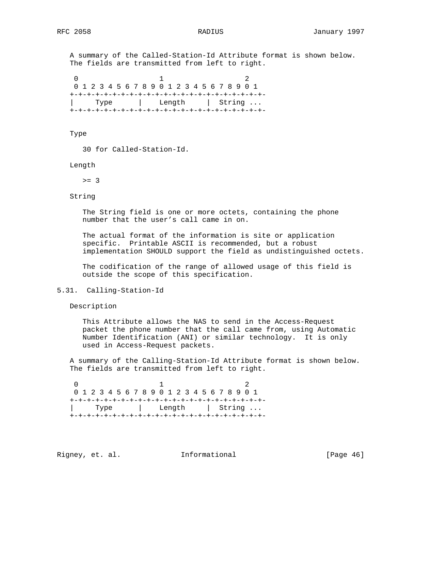A summary of the Called-Station-Id Attribute format is shown below. The fields are transmitted from left to right.

 $0$  1 2 0 1 2 3 4 5 6 7 8 9 0 1 2 3 4 5 6 7 8 9 0 1 +-+-+-+-+-+-+-+-+-+-+-+-+-+-+-+-+-+-+-+-+-+-+- Length | String ... +-+-+-+-+-+-+-+-+-+-+-+-+-+-+-+-+-+-+-+-+-+-+-

# Type

30 for Called-Station-Id.

Length

 $>= 3$ 

String

 The String field is one or more octets, containing the phone number that the user's call came in on.

 The actual format of the information is site or application specific. Printable ASCII is recommended, but a robust implementation SHOULD support the field as undistinguished octets.

 The codification of the range of allowed usage of this field is outside the scope of this specification.

## 5.31. Calling-Station-Id

Description

 This Attribute allows the NAS to send in the Access-Request packet the phone number that the call came from, using Automatic Number Identification (ANI) or similar technology. It is only used in Access-Request packets.

 A summary of the Calling-Station-Id Attribute format is shown below. The fields are transmitted from left to right.

 $0$  1 2 0 1 2 3 4 5 6 7 8 9 0 1 2 3 4 5 6 7 8 9 0 1 +-+-+-+-+-+-+-+-+-+-+-+-+-+-+-+-+-+-+-+-+-+-+- | Type | Length | String ... +-+-+-+-+-+-+-+-+-+-+-+-+-+-+-+-+-+-+-+-+-+-+-

Rigney, et. al. **Informational** [Page 46]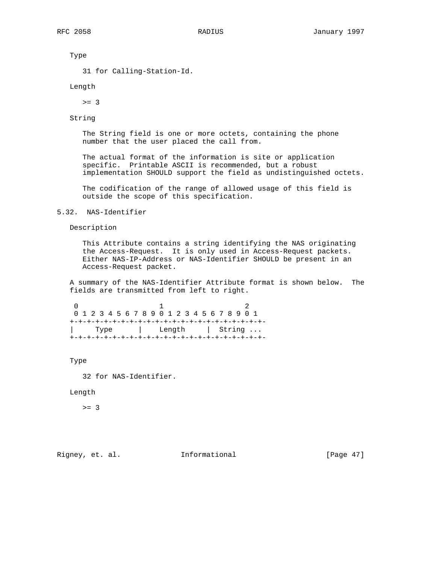Type

31 for Calling-Station-Id.

Length

 $>= 3$ 

String

 The String field is one or more octets, containing the phone number that the user placed the call from.

 The actual format of the information is site or application specific. Printable ASCII is recommended, but a robust implementation SHOULD support the field as undistinguished octets.

 The codification of the range of allowed usage of this field is outside the scope of this specification.

## 5.32. NAS-Identifier

Description

 This Attribute contains a string identifying the NAS originating the Access-Request. It is only used in Access-Request packets. Either NAS-IP-Address or NAS-Identifier SHOULD be present in an Access-Request packet.

 A summary of the NAS-Identifier Attribute format is shown below. The fields are transmitted from left to right.

 $\begin{array}{ccc} 0 & 1 & 2 \end{array}$  0 1 2 3 4 5 6 7 8 9 0 1 2 3 4 5 6 7 8 9 0 1 +-+-+-+-+-+-+-+-+-+-+-+-+-+-+-+-+-+-+-+-+-+-+- Length | String ... +-+-+-+-+-+-+-+-+-+-+-+-+-+-+-+-+-+-+-+-+-+-+-

Type

32 for NAS-Identifier.

Length

 $>= 3$ 

Rigney, et. al. **Informational** [Page 47]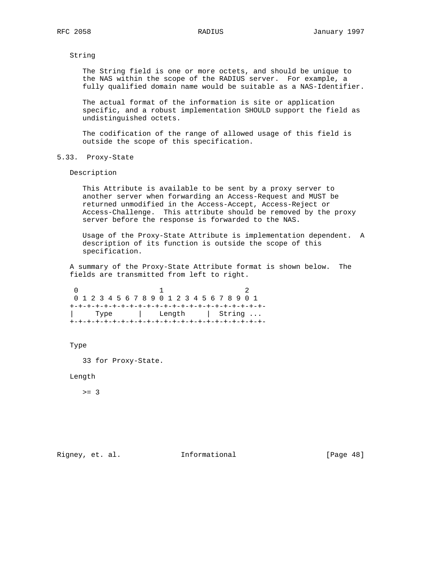# String

 The String field is one or more octets, and should be unique to the NAS within the scope of the RADIUS server. For example, a fully qualified domain name would be suitable as a NAS-Identifier.

 The actual format of the information is site or application specific, and a robust implementation SHOULD support the field as undistinguished octets.

 The codification of the range of allowed usage of this field is outside the scope of this specification.

# 5.33. Proxy-State

Description

 This Attribute is available to be sent by a proxy server to another server when forwarding an Access-Request and MUST be returned unmodified in the Access-Accept, Access-Reject or Access-Challenge. This attribute should be removed by the proxy server before the response is forwarded to the NAS.

 Usage of the Proxy-State Attribute is implementation dependent. A description of its function is outside the scope of this specification.

 A summary of the Proxy-State Attribute format is shown below. The fields are transmitted from left to right.

 $0$  1 2 0 1 2 3 4 5 6 7 8 9 0 1 2 3 4 5 6 7 8 9 0 1 +-+-+-+-+-+-+-+-+-+-+-+-+-+-+-+-+-+-+-+-+-+-+- Type | Length | String ... +-+-+-+-+-+-+-+-+-+-+-+-+-+-+-+-+-+-+-+-+-+-+-

# Type

33 for Proxy-State.

Length

 $>= 3$ 

Rigney, et. al. **Informational** [Page 48]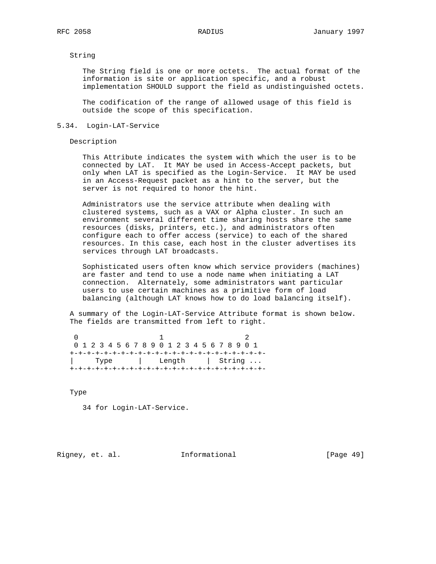# String

 The String field is one or more octets. The actual format of the information is site or application specific, and a robust implementation SHOULD support the field as undistinguished octets.

 The codification of the range of allowed usage of this field is outside the scope of this specification.

### 5.34. Login-LAT-Service

Description

 This Attribute indicates the system with which the user is to be connected by LAT. It MAY be used in Access-Accept packets, but only when LAT is specified as the Login-Service. It MAY be used in an Access-Request packet as a hint to the server, but the server is not required to honor the hint.

 Administrators use the service attribute when dealing with clustered systems, such as a VAX or Alpha cluster. In such an environment several different time sharing hosts share the same resources (disks, printers, etc.), and administrators often configure each to offer access (service) to each of the shared resources. In this case, each host in the cluster advertises its services through LAT broadcasts.

 Sophisticated users often know which service providers (machines) are faster and tend to use a node name when initiating a LAT connection. Alternately, some administrators want particular users to use certain machines as a primitive form of load balancing (although LAT knows how to do load balancing itself).

 A summary of the Login-LAT-Service Attribute format is shown below. The fields are transmitted from left to right.

|  |  |  | 0 1 2 3 4 5 6 7 8 9 0 1 2 3 4 5 6 7 8 9 0 1 |  |  |  |  |  |  |  |                        |
|--|--|--|---------------------------------------------|--|--|--|--|--|--|--|------------------------|
|  |  |  |                                             |  |  |  |  |  |  |  |                        |
|  |  |  |                                             |  |  |  |  |  |  |  | Type   Length   String |
|  |  |  |                                             |  |  |  |  |  |  |  |                        |

## Type

34 for Login-LAT-Service.

Rigney, et. al. **Informational** [Page 49]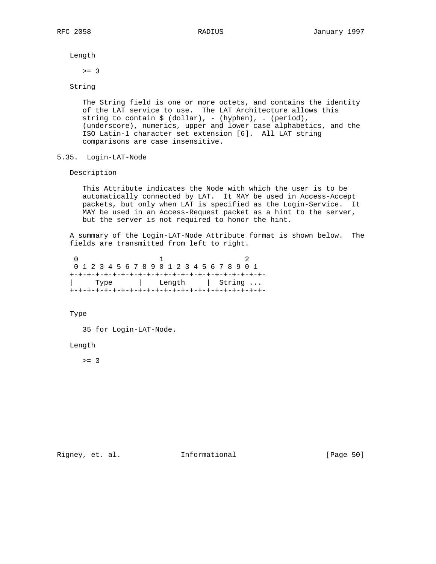Length

 $>= 3$ 

# String

 The String field is one or more octets, and contains the identity of the LAT service to use. The LAT Architecture allows this string to contain  $\frac{1}{2}$  (dollar), - (hyphen), . (period), \_ (underscore), numerics, upper and lower case alphabetics, and the ISO Latin-1 character set extension [6]. All LAT string comparisons are case insensitive.

5.35. Login-LAT-Node

Description

 This Attribute indicates the Node with which the user is to be automatically connected by LAT. It MAY be used in Access-Accept packets, but only when LAT is specified as the Login-Service. It MAY be used in an Access-Request packet as a hint to the server, but the server is not required to honor the hint.

 A summary of the Login-LAT-Node Attribute format is shown below. The fields are transmitted from left to right.

|                        |  |  |  |  |  |  |  |  |  | 0 1 2 3 4 5 6 7 8 9 0 1 2 3 4 5 6 7 8 9 0 1 |  |
|------------------------|--|--|--|--|--|--|--|--|--|---------------------------------------------|--|
|                        |  |  |  |  |  |  |  |  |  |                                             |  |
| Type   Length   String |  |  |  |  |  |  |  |  |  |                                             |  |
|                        |  |  |  |  |  |  |  |  |  |                                             |  |

Type

35 for Login-LAT-Node.

Length

 $>= 3$ 

Rigney, et. al. **Informational** [Page 50]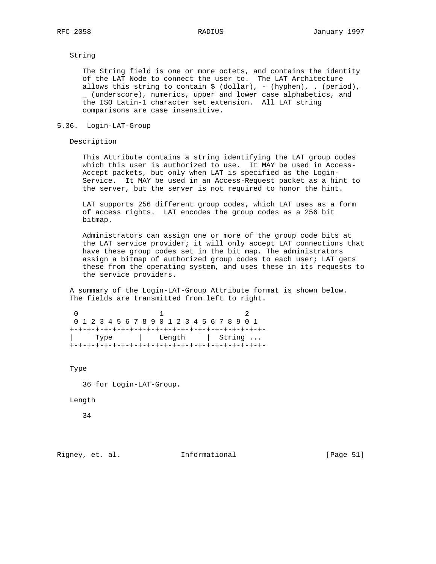# String

 The String field is one or more octets, and contains the identity of the LAT Node to connect the user to. The LAT Architecture allows this string to contain  $\frac{1}{2}$  (dollar), - (hyphen), . (period), \_ (underscore), numerics, upper and lower case alphabetics, and the ISO Latin-1 character set extension. All LAT string comparisons are case insensitive.

## 5.36. Login-LAT-Group

# Description

 This Attribute contains a string identifying the LAT group codes which this user is authorized to use. It MAY be used in Access- Accept packets, but only when LAT is specified as the Login- Service. It MAY be used in an Access-Request packet as a hint to the server, but the server is not required to honor the hint.

 LAT supports 256 different group codes, which LAT uses as a form of access rights. LAT encodes the group codes as a 256 bit bitmap.

 Administrators can assign one or more of the group code bits at the LAT service provider; it will only accept LAT connections that have these group codes set in the bit map. The administrators assign a bitmap of authorized group codes to each user; LAT gets these from the operating system, and uses these in its requests to the service providers.

 A summary of the Login-LAT-Group Attribute format is shown below. The fields are transmitted from left to right.

| 0 1 2 3 4 5 6 7 8 9 0 1 2 3 4 5 6 7 8 9 0 1 |  |  |  |  |  |  |  |  |  |                        |
|---------------------------------------------|--|--|--|--|--|--|--|--|--|------------------------|
|                                             |  |  |  |  |  |  |  |  |  |                        |
|                                             |  |  |  |  |  |  |  |  |  | Type   Length   String |
|                                             |  |  |  |  |  |  |  |  |  |                        |

Type

36 for Login-LAT-Group.

### Length

34

Rigney, et. al. **Informational** [Page 51]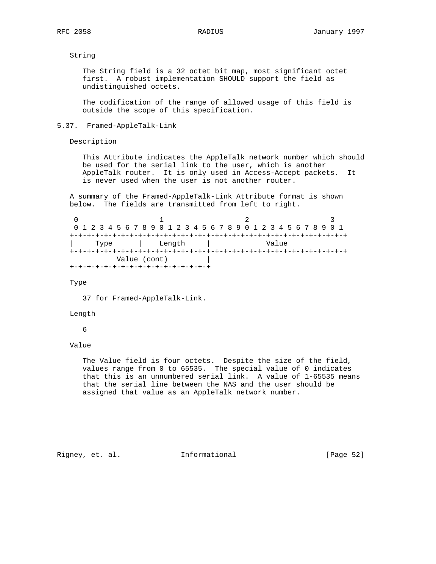String

 The String field is a 32 octet bit map, most significant octet first. A robust implementation SHOULD support the field as undistinguished octets.

 The codification of the range of allowed usage of this field is outside the scope of this specification.

# 5.37. Framed-AppleTalk-Link

Description

 This Attribute indicates the AppleTalk network number which should be used for the serial link to the user, which is another AppleTalk router. It is only used in Access-Accept packets. It is never used when the user is not another router.

 A summary of the Framed-AppleTalk-Link Attribute format is shown below. The fields are transmitted from left to right.

0  $1$  2 3 0 1 2 3 4 5 6 7 8 9 0 1 2 3 4 5 6 7 8 9 0 1 2 3 4 5 6 7 8 9 0 1 +-+-+-+-+-+-+-+-+-+-+-+-+-+-+-+-+-+-+-+-+-+-+-+-+-+-+-+-+-+-+-+-+ | Type | Length | Value +-+-+-+-+-+-+-+-+-+-+-+-+-+-+-+-+-+-+-+-+-+-+-+-+-+-+-+-+-+-+-+-+ Value (cont) | +-+-+-+-+-+-+-+-+-+-+-+-+-+-+-+-+

Type

37 for Framed-AppleTalk-Link.

Length

6

Value

 The Value field is four octets. Despite the size of the field, values range from 0 to 65535. The special value of 0 indicates that this is an unnumbered serial link. A value of 1-65535 means that the serial line between the NAS and the user should be assigned that value as an AppleTalk network number.

Rigney, et. al. **Informational** [Page 52]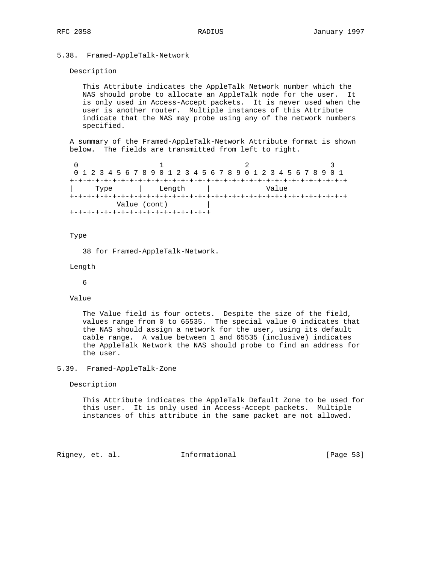# 5.38. Framed-AppleTalk-Network

## Description

 This Attribute indicates the AppleTalk Network number which the NAS should probe to allocate an AppleTalk node for the user. It is only used in Access-Accept packets. It is never used when the user is another router. Multiple instances of this Attribute indicate that the NAS may probe using any of the network numbers specified.

 A summary of the Framed-AppleTalk-Network Attribute format is shown below. The fields are transmitted from left to right.

| 0 1 2 3 4 5 6 7 8 9 0 1 2 3 4 5 6 7 8 9 0 1 2 3 4 5 6 7 8 9 0 1 |  |              |        |  |  |  |  |  |       |  |  |  |  |
|-----------------------------------------------------------------|--|--------------|--------|--|--|--|--|--|-------|--|--|--|--|
|                                                                 |  |              |        |  |  |  |  |  |       |  |  |  |  |
| Type                                                            |  |              | Length |  |  |  |  |  | Value |  |  |  |  |
|                                                                 |  |              |        |  |  |  |  |  |       |  |  |  |  |
|                                                                 |  | Value (cont) |        |  |  |  |  |  |       |  |  |  |  |
|                                                                 |  |              |        |  |  |  |  |  |       |  |  |  |  |

# Type

38 for Framed-AppleTalk-Network.

Length

```
 6
```
Value

 The Value field is four octets. Despite the size of the field, values range from 0 to 65535. The special value 0 indicates that the NAS should assign a network for the user, using its default cable range. A value between 1 and 65535 (inclusive) indicates the AppleTalk Network the NAS should probe to find an address for the user.

# 5.39. Framed-AppleTalk-Zone

Description

 This Attribute indicates the AppleTalk Default Zone to be used for this user. It is only used in Access-Accept packets. Multiple instances of this attribute in the same packet are not allowed.

Rigney, et. al. **Informational** [Page 53]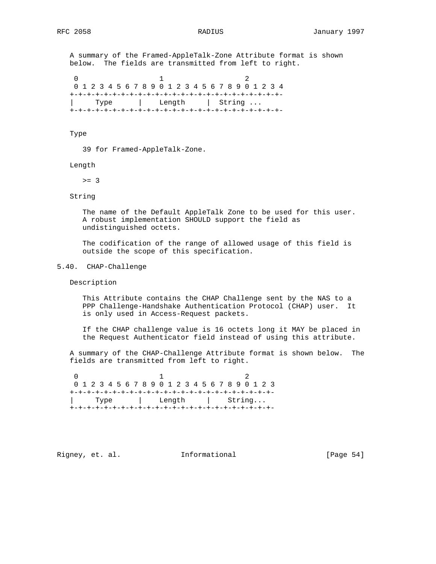A summary of the Framed-AppleTalk-Zone Attribute format is shown below. The fields are transmitted from left to right.

 $0$  1 2 0 1 2 3 4 5 6 7 8 9 0 1 2 3 4 5 6 7 8 9 0 1 2 3 4 +-+-+-+-+-+-+-+-+-+-+-+-+-+-+-+-+-+-+-+-+-+-+-+-+- Length | String ... +-+-+-+-+-+-+-+-+-+-+-+-+-+-+-+-+-+-+-+-+-+-+-+-+-

# Type

39 for Framed-AppleTalk-Zone.

Length

 $>= 3$ 

String

 The name of the Default AppleTalk Zone to be used for this user. A robust implementation SHOULD support the field as undistinguished octets.

 The codification of the range of allowed usage of this field is outside the scope of this specification.

### 5.40. CHAP-Challenge

Description

 This Attribute contains the CHAP Challenge sent by the NAS to a PPP Challenge-Handshake Authentication Protocol (CHAP) user. It is only used in Access-Request packets.

 If the CHAP challenge value is 16 octets long it MAY be placed in the Request Authenticator field instead of using this attribute.

 A summary of the CHAP-Challenge Attribute format is shown below. The fields are transmitted from left to right.

 $\begin{array}{ccc} 0 & 1 & 2 \end{array}$  0 1 2 3 4 5 6 7 8 9 0 1 2 3 4 5 6 7 8 9 0 1 2 3 +-+-+-+-+-+-+-+-+-+-+-+-+-+-+-+-+-+-+-+-+-+-+-+- | Type | Length | String... +-+-+-+-+-+-+-+-+-+-+-+-+-+-+-+-+-+-+-+-+-+-+-+-

Rigney, et. al. **Informational** [Page 54]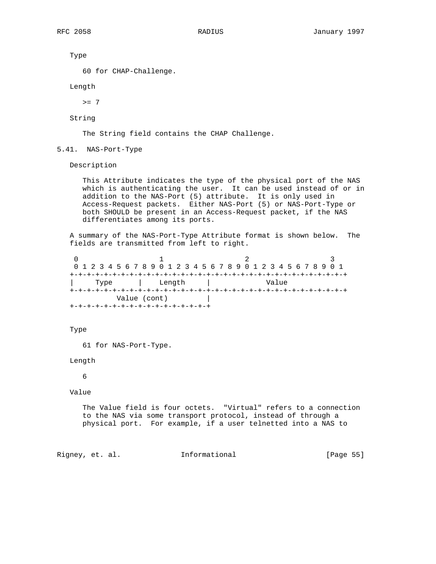Type

60 for CHAP-Challenge.

Length

 $>= 7$ 

String

The String field contains the CHAP Challenge.

5.41. NAS-Port-Type

Description

 This Attribute indicates the type of the physical port of the NAS which is authenticating the user. It can be used instead of or in addition to the NAS-Port (5) attribute. It is only used in Access-Request packets. Either NAS-Port (5) or NAS-Port-Type or both SHOULD be present in an Access-Request packet, if the NAS differentiates among its ports.

 A summary of the NAS-Port-Type Attribute format is shown below. The fields are transmitted from left to right.

| 0 1 2 3 4 5 6 7 8 9 0 1 2 3 4 5 6 7 8 9 0 1 2 3 4 5 6 7 8 9 0 1 |  |              |        |  |  |  |  |  |       |  |  |  |  |
|-----------------------------------------------------------------|--|--------------|--------|--|--|--|--|--|-------|--|--|--|--|
|                                                                 |  |              |        |  |  |  |  |  |       |  |  |  |  |
| Type                                                            |  |              | Length |  |  |  |  |  | Value |  |  |  |  |
|                                                                 |  |              |        |  |  |  |  |  |       |  |  |  |  |
|                                                                 |  | Value (cont) |        |  |  |  |  |  |       |  |  |  |  |
|                                                                 |  |              |        |  |  |  |  |  |       |  |  |  |  |

Type

61 for NAS-Port-Type.

Length

6

Value

 The Value field is four octets. "Virtual" refers to a connection to the NAS via some transport protocol, instead of through a physical port. For example, if a user telnetted into a NAS to

Rigney, et. al. **Informational** [Page 55]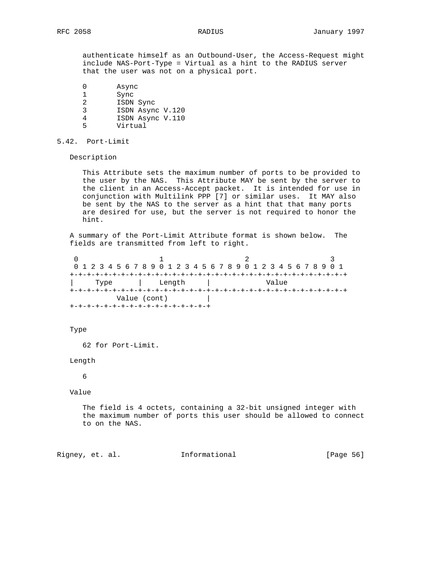authenticate himself as an Outbound-User, the Access-Request might include NAS-Port-Type = Virtual as a hint to the RADIUS server that the user was not on a physical port.

- 
- 0 Async<br>1 Sync 1 Sync<br>2 ISDN
- 2 ISDN Sync
- 3 ISDN Async V.120
- 4 ISDN Async V.110
- 5 Virtual
- 5.42. Port-Limit

Description

 This Attribute sets the maximum number of ports to be provided to the user by the NAS. This Attribute MAY be sent by the server to the client in an Access-Accept packet. It is intended for use in conjunction with Multilink PPP [7] or similar uses. It MAY also be sent by the NAS to the server as a hint that that many ports are desired for use, but the server is not required to honor the hint.

 A summary of the Port-Limit Attribute format is shown below. The fields are transmitted from left to right.

| 0 1 2 3 4 5 6 7 8 9 0 1 2 3 4 5 6 7 8 9 0 1 2 3 4 5 6 7 8 9 0 1 |      |  |  |              |  |        |  |  |  |  |  |       |  |  |  |  |
|-----------------------------------------------------------------|------|--|--|--------------|--|--------|--|--|--|--|--|-------|--|--|--|--|
|                                                                 |      |  |  |              |  |        |  |  |  |  |  |       |  |  |  |  |
|                                                                 | Type |  |  |              |  | Length |  |  |  |  |  | Value |  |  |  |  |
|                                                                 |      |  |  |              |  |        |  |  |  |  |  |       |  |  |  |  |
|                                                                 |      |  |  | Value (cont) |  |        |  |  |  |  |  |       |  |  |  |  |
|                                                                 |      |  |  |              |  |        |  |  |  |  |  |       |  |  |  |  |

Type

62 for Port-Limit.

Length

6

Value

 The field is 4 octets, containing a 32-bit unsigned integer with the maximum number of ports this user should be allowed to connect to on the NAS.

Rigney, et. al. **Informational** [Page 56]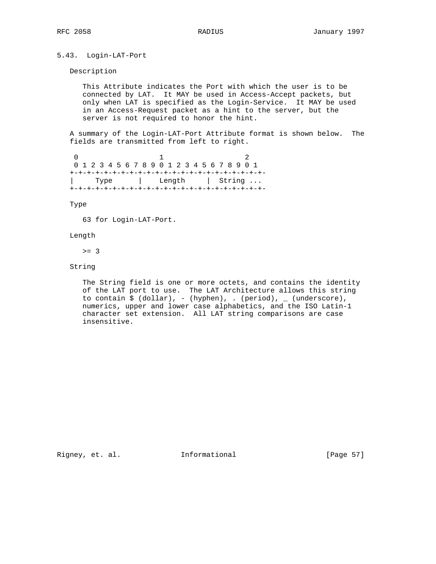# 5.43. Login-LAT-Port

Description

 This Attribute indicates the Port with which the user is to be connected by LAT. It MAY be used in Access-Accept packets, but only when LAT is specified as the Login-Service. It MAY be used in an Access-Request packet as a hint to the server, but the server is not required to honor the hint.

 A summary of the Login-LAT-Port Attribute format is shown below. The fields are transmitted from left to right.

|  |  |  |  |  |  |  |  |  | 0 1 2 3 4 5 6 7 8 9 0 1 2 3 4 5 6 7 8 9 0 1 |                        |  |
|--|--|--|--|--|--|--|--|--|---------------------------------------------|------------------------|--|
|  |  |  |  |  |  |  |  |  |                                             |                        |  |
|  |  |  |  |  |  |  |  |  |                                             | Type   Length   String |  |
|  |  |  |  |  |  |  |  |  |                                             |                        |  |

Type

63 for Login-LAT-Port.

# Length

>= 3

# String

 The String field is one or more octets, and contains the identity of the LAT port to use. The LAT Architecture allows this string to contain  $\frac{1}{2}$  (dollar), - (hyphen), . (period), \_ (underscore), numerics, upper and lower case alphabetics, and the ISO Latin-1 character set extension. All LAT string comparisons are case insensitive.

Rigney, et. al. **Informational** [Page 57]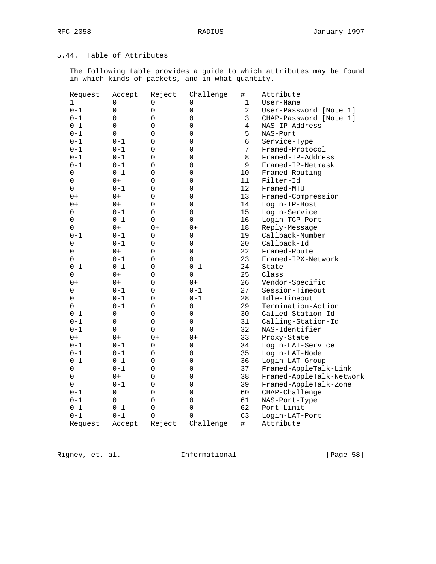# 5.44. Table of Attributes

 The following table provides a guide to which attributes may be found in which kinds of packets, and in what quantity.

| Request     | Accept              | Reject              | Challenge           | $\#$           | Attribute                |
|-------------|---------------------|---------------------|---------------------|----------------|--------------------------|
| $\mathbf 1$ | 0                   | 0                   | 0                   | 1              | User-Name                |
| $0 - 1$     | 0                   | 0                   | $\mathsf{O}\xspace$ | 2              | User-Password [Note 1]   |
| $0 - 1$     | $\mathsf 0$         | 0                   | $\mathsf 0$         | 3              | CHAP-Password [Note 1]   |
| $0 - 1$     | $\mathsf 0$         | 0                   | 0                   | $\overline{4}$ | NAS-IP-Address           |
| $0 - 1$     | 0                   | 0                   | $\mathsf{O}\xspace$ | 5              | NAS-Port                 |
| $0 - 1$     | $0 - 1$             | 0                   | $\mathsf{O}\xspace$ | 6              | Service-Type             |
| $0 - 1$     | $0 - 1$             | $\mathsf 0$         | 0                   | 7              | Framed-Protocol          |
| $0 - 1$     | $0 - 1$             | 0                   | 0                   | 8              | Framed-IP-Address        |
| $0 - 1$     | $0 - 1$             | 0                   | $\mathsf{O}\xspace$ | 9              | Framed-IP-Netmask        |
| 0           | $0 - 1$             | 0                   | 0                   | 10             | Framed-Routing           |
| 0           | $0+$                | $\mathsf 0$         | 0                   | 11             | Filter-Id                |
| 0           | $0 - 1$             | 0                   | $\mathbf 0$         | 12             | Framed-MTU               |
| $0+$        | $0+$                | 0                   | 0                   | 13             | Framed-Compression       |
| $0+$        | $0+$                | 0                   | 0                   | 14             | Login-IP-Host            |
| 0           | $0 - 1$             | $\mathsf 0$         | $\mathsf 0$         | 15             | Login-Service            |
| $\mathbf 0$ | $0 - 1$             | $\mathbf 0$         | $\mathsf 0$         | 16             | Login-TCP-Port           |
| 0           | $0+$                | $0+$                | $0+$                | 18             | Reply-Message            |
| $0 - 1$     | $0 - 1$             | 0                   | $\mathsf 0$         | 19             | Callback-Number          |
| 0           | $0 - 1$             | 0                   | $\mathsf{O}\xspace$ | 20             | Callback-Id              |
| 0           | $0+$                | 0                   | $\mathsf{O}\xspace$ | 22             | Framed-Route             |
| 0           | $0 - 1$             | 0                   | $\mathsf 0$         | 23             | Framed-IPX-Network       |
| $0 - 1$     | $0 - 1$             | 0                   | $0 - 1$             | 24             | State                    |
| $\mathbf 0$ | $0+$                | $\mathbf 0$         | $\Omega$            | 25             | Class                    |
| $0+$        | $0+$                | 0                   | $0+$                | 26             | Vendor-Specific          |
| 0           | $0 - 1$             | 0                   | $0 - 1$             | 27             | Session-Timeout          |
| 0           | $0 - 1$             | $\mathsf{O}\xspace$ | $0 - 1$             | 28             | Idle-Timeout             |
| $\mathbf 0$ | $0 - 1$             | $\mathbf 0$         | $\mathbf 0$         | 29             | Termination-Action       |
| $0 - 1$     | $\mathsf{O}\xspace$ | 0                   | $\mathsf 0$         | 30             | Called-Station-Id        |
| $0 - 1$     | 0                   | $\mathbf 0$         | $\mathsf 0$         | 31             | Calling-Station-Id       |
| $0 - 1$     | 0                   | 0                   | 0                   | 32             | NAS-Identifier           |
| $0+$        | $0+$                | $0+$                | $0+$                | 33             | Proxy-State              |
| $0 - 1$     | $0 - 1$             | 0                   | 0                   | 34             | Login-LAT-Service        |
| $0 - 1$     | $0 - 1$             | 0                   | 0                   | 35             | Login-LAT-Node           |
| $0 - 1$     | $0 - 1$             | 0                   | $\mathbf 0$         | 36             | Login-LAT-Group          |
| 0           | $0 - 1$             | 0                   | 0                   | 37             | Framed-AppleTalk-Link    |
| 0           | $0+$                | 0                   | 0                   | 38             | Framed-AppleTalk-Network |
| 0           | $0 - 1$             | 0                   | 0                   | 39             | Framed-AppleTalk-Zone    |
| $0 - 1$     | $\mathsf{O}\xspace$ | 0                   | $\mathsf 0$         | 60             | CHAP-Challenge           |
| $0 - 1$     | 0                   | $\mathsf{O}\xspace$ | 0                   | 61             | NAS-Port-Type            |
| $0 - 1$     | $0 - 1$             | 0                   | $\mathsf{O}\xspace$ | 62             | Port-Limit               |
| $0 - 1$     | $0 - 1$             | 0                   | $\mathbf 0$         | 63             | Login-LAT-Port           |
| Request     | Accept              | Reject              | Challenge           | #              | Attribute                |
|             |                     |                     |                     |                |                          |

Rigney, et. al. 1nformational [Page 58]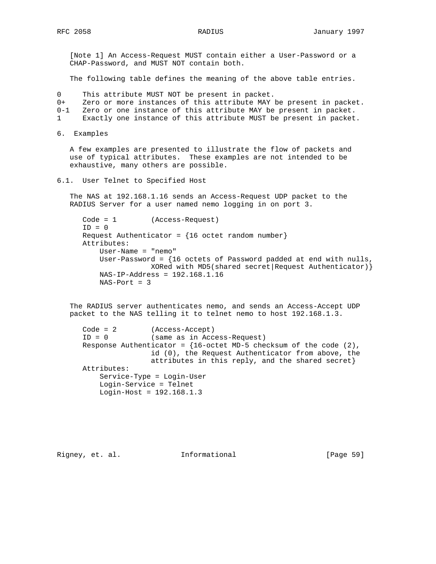[Note 1] An Access-Request MUST contain either a User-Password or a CHAP-Password, and MUST NOT contain both.

The following table defines the meaning of the above table entries.

0 This attribute MUST NOT be present in packet.

- 0+ Zero or more instances of this attribute MAY be present in packet.
- 0-1 Zero or one instance of this attribute MAY be present in packet.
- 1 Exactly one instance of this attribute MUST be present in packet.
- 6. Examples

 A few examples are presented to illustrate the flow of packets and use of typical attributes. These examples are not intended to be exhaustive, many others are possible.

6.1. User Telnet to Specified Host

 The NAS at 192.168.1.16 sends an Access-Request UDP packet to the RADIUS Server for a user named nemo logging in on port 3.

```
 Code = 1 (Access-Request)
ID = 0Request Authenticator = \{16 \text{ octet random number}\}\ Attributes:
     User-Name = "nemo"
    User-Password = \{16 \text{ octets of Password padded at end with nulls}\} XORed with MD5(shared secret|Request Authenticator)}
     NAS-IP-Address = 192.168.1.16
    NAS-Port = 3
```
 The RADIUS server authenticates nemo, and sends an Access-Accept UDP packet to the NAS telling it to telnet nemo to host 192.168.1.3.

```
Code = 2 (Access-Accept)
 ID = 0 (same as in Access-Request)
Response Authenticator = \{16-octet MD-5 checksum of the code (2),
                id (0), the Request Authenticator from above, the
                attributes in this reply, and the shared secret}
 Attributes:
    Service-Type = Login-User
    Login-Service = Telnet
     Login-Host = 192.168.1.3
```
Rigney, et. al. **Informational** [Page 59]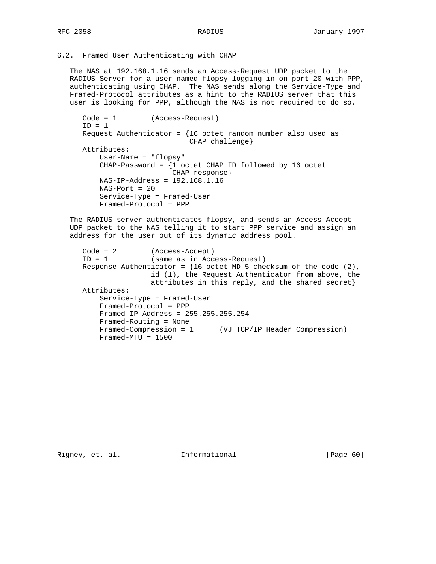# 6.2. Framed User Authenticating with CHAP

 The NAS at 192.168.1.16 sends an Access-Request UDP packet to the RADIUS Server for a user named flopsy logging in on port 20 with PPP, authenticating using CHAP. The NAS sends along the Service-Type and Framed-Protocol attributes as a hint to the RADIUS server that this user is looking for PPP, although the NAS is not required to do so.

```
 Code = 1 (Access-Request)
ID = 1Request Authenticator = \{16 \text{ octet random number also used as}\} CHAP challenge}
 Attributes:
    User-Name = "flopsy"
     CHAP-Password = {1 octet CHAP ID followed by 16 octet
                     CHAP response}
     NAS-IP-Address = 192.168.1.16
     NAS-Port = 20
     Service-Type = Framed-User
     Framed-Protocol = PPP
```
 The RADIUS server authenticates flopsy, and sends an Access-Accept UDP packet to the NAS telling it to start PPP service and assign an address for the user out of its dynamic address pool.

```
 Code = 2 (Access-Accept)
 ID = 1 (same as in Access-Request)
     Response Authenticator = {16-octet MD-5 checksum of the code (2),
                     id (1), the Request Authenticator from above, the
                     attributes in this reply, and the shared secret}
      Attributes:
          Service-Type = Framed-User
          Framed-Protocol = PPP
          Framed-IP-Address = 255.255.255.254
          Framed-Routing = None
          Framed-Compression = 1 (VJ TCP/IP Header Compression)
          Framed-MTU = 1500
```
Rigney, et. al. **Informational** [Page 60]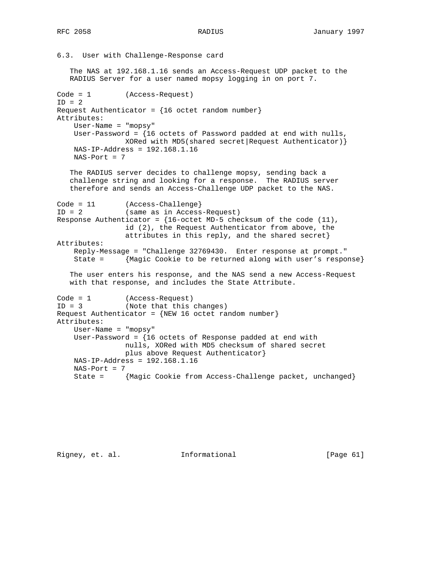6.3. User with Challenge-Response card The NAS at 192.168.1.16 sends an Access-Request UDP packet to the RADIUS Server for a user named mopsy logging in on port 7. Code = 1 (Access-Request)  $ID = 2$ Request Authenticator =  $\{16 \text{ octet random number}\}$ Attributes: User-Name = "mopsy" User-Password = {16 octets of Password padded at end with nulls, XORed with MD5(shared secret|Request Authenticator)} NAS-IP-Address = 192.168.1.16 NAS-Port = 7 The RADIUS server decides to challenge mopsy, sending back a challenge string and looking for a response. The RADIUS server therefore and sends an Access-Challenge UDP packet to the NAS. Code = 11 (Access-Challenge} ID = 2 (same as in Access-Request) Response Authenticator =  $\{16\text{-octet MD-5 checksum of the code } (11),\}$  id (2), the Request Authenticator from above, the attributes in this reply, and the shared secret} Attributes: Reply-Message = "Challenge 32769430. Enter response at prompt." State = {Magic Cookie to be returned along with user's response} The user enters his response, and the NAS send a new Access-Request with that response, and includes the State Attribute. Code = 1 (Access-Request) ID = 3 (Note that this changes) Request Authenticator =  ${NEW}$  16 octet random number} Attributes: User-Name = "mopsy" User-Password =  ${16}$  octets of Response padded at end with nulls, XORed with MD5 checksum of shared secret plus above Request Authenticator} NAS-IP-Address = 192.168.1.16 NAS-Port = 7 State = {Magic Cookie from Access-Challenge packet, unchanged}

Rigney, et. al. **Informational** [Page 61]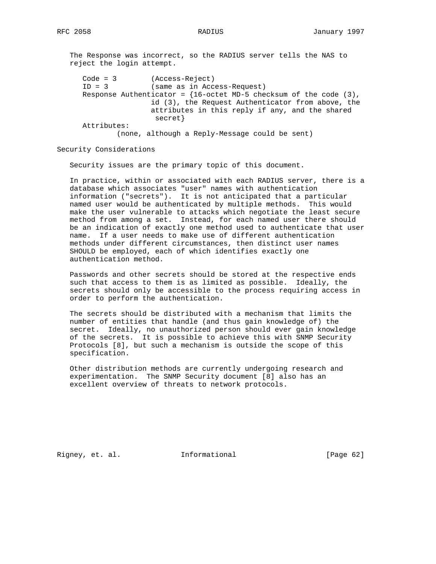The Response was incorrect, so the RADIUS server tells the NAS to reject the login attempt.

Code = 3 (Access-Reject)<br>TD = 3 (same as in Acces ID = 3 (same as in Access-Request) Response Authenticator =  $\{16\text{-octet MD-5 checksum of the code } (3),\}$  id (3), the Request Authenticator from above, the attributes in this reply if any, and the shared secret} Attributes:

(none, although a Reply-Message could be sent)

Security Considerations

Security issues are the primary topic of this document.

 In practice, within or associated with each RADIUS server, there is a database which associates "user" names with authentication information ("secrets"). It is not anticipated that a particular named user would be authenticated by multiple methods. This would make the user vulnerable to attacks which negotiate the least secure method from among a set. Instead, for each named user there should be an indication of exactly one method used to authenticate that user name. If a user needs to make use of different authentication methods under different circumstances, then distinct user names SHOULD be employed, each of which identifies exactly one authentication method.

 Passwords and other secrets should be stored at the respective ends such that access to them is as limited as possible. Ideally, the secrets should only be accessible to the process requiring access in order to perform the authentication.

 The secrets should be distributed with a mechanism that limits the number of entities that handle (and thus gain knowledge of) the secret. Ideally, no unauthorized person should ever gain knowledge of the secrets. It is possible to achieve this with SNMP Security Protocols [8], but such a mechanism is outside the scope of this specification.

 Other distribution methods are currently undergoing research and experimentation. The SNMP Security document [8] also has an excellent overview of threats to network protocols.

Rigney, et. al. **Informational** [Page 62]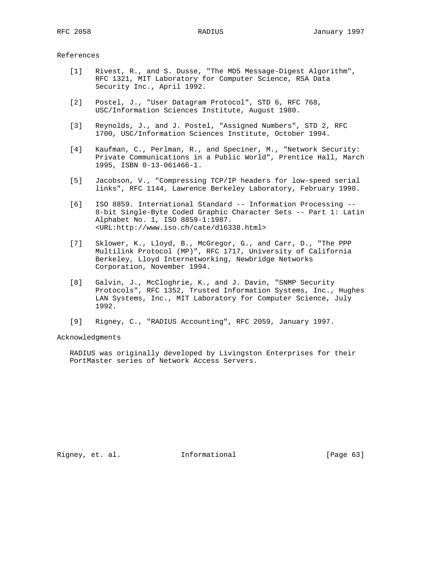References

- [1] Rivest, R., and S. Dusse, "The MD5 Message-Digest Algorithm", RFC 1321, MIT Laboratory for Computer Science, RSA Data Security Inc., April 1992.
- [2] Postel, J., "User Datagram Protocol", STD 6, RFC 768, USC/Information Sciences Institute, August 1980.
- [3] Reynolds, J., and J. Postel, "Assigned Numbers", STD 2, RFC 1700, USC/Information Sciences Institute, October 1994.
- [4] Kaufman, C., Perlman, R., and Speciner, M., "Network Security: Private Communications in a Public World", Prentice Hall, March 1995, ISBN 0-13-061466-1.
- [5] Jacobson, V., "Compressing TCP/IP headers for low-speed serial links", RFC 1144, Lawrence Berkeley Laboratory, February 1990.
- [6] ISO 8859. International Standard -- Information Processing -- 8-bit Single-Byte Coded Graphic Character Sets -- Part 1: Latin Alphabet No. 1, ISO 8859-1:1987. <URL:http://www.iso.ch/cate/d16338.html>
- [7] Sklower, K., Lloyd, B., McGregor, G., and Carr, D., "The PPP Multilink Protocol (MP)", RFC 1717, University of California Berkeley, Lloyd Internetworking, Newbridge Networks Corporation, November 1994.
- [8] Galvin, J., McCloghrie, K., and J. Davin, "SNMP Security Protocols", RFC 1352, Trusted Information Systems, Inc., Hughes LAN Systems, Inc., MIT Laboratory for Computer Science, July 1992.
- [9] Rigney, C., "RADIUS Accounting", RFC 2059, January 1997.

Acknowledgments

 RADIUS was originally developed by Livingston Enterprises for their PortMaster series of Network Access Servers.

Rigney, et. al. 10. Informational [Page 63]